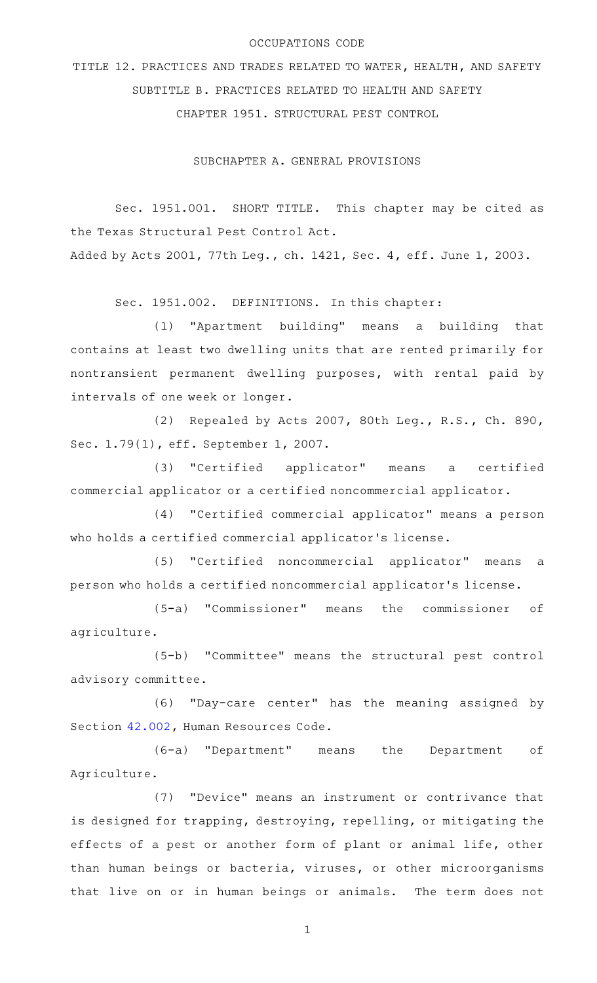### OCCUPATIONS CODE

TITLE 12. PRACTICES AND TRADES RELATED TO WATER, HEALTH, AND SAFETY SUBTITLE B. PRACTICES RELATED TO HEALTH AND SAFETY CHAPTER 1951. STRUCTURAL PEST CONTROL

SUBCHAPTER A. GENERAL PROVISIONS

Sec. 1951.001. SHORT TITLE. This chapter may be cited as the Texas Structural Pest Control Act. Added by Acts 2001, 77th Leg., ch. 1421, Sec. 4, eff. June 1, 2003.

Sec. 1951.002. DEFINITIONS. In this chapter:

(1) "Apartment building" means a building that contains at least two dwelling units that are rented primarily for nontransient permanent dwelling purposes, with rental paid by intervals of one week or longer.

(2) Repealed by Acts 2007, 80th Leg., R.S., Ch. 890, Sec. 1.79(1), eff. September 1, 2007.

(3) "Certified applicator" means a certified commercial applicator or a certified noncommercial applicator.

(4) "Certified commercial applicator" means a person who holds a certified commercial applicator's license.

(5) "Certified noncommercial applicator" means a person who holds a certified noncommercial applicator 's license.

(5-a) "Commissioner" means the commissioner of agriculture.

(5-b) "Committee" means the structural pest control advisory committee.

(6) "Day-care center" has the meaning assigned by Section [42.002](http://www.statutes.legis.state.tx.us/GetStatute.aspx?Code=HR&Value=42.002), Human Resources Code.

(6-a) "Department" means the Department of Agriculture.

(7) "Device" means an instrument or contrivance that is designed for trapping, destroying, repelling, or mitigating the effects of a pest or another form of plant or animal life, other than human beings or bacteria, viruses, or other microorganisms that live on or in human beings or animals. The term does not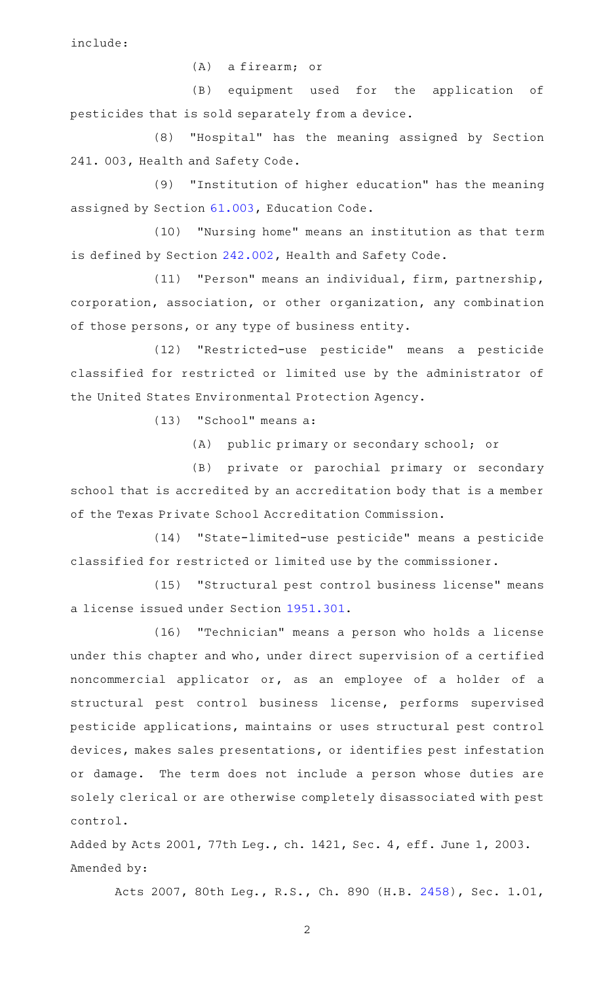include:

 $(A)$  a firearm; or

(B) equipment used for the application of pesticides that is sold separately from a device.

(8) "Hospital" has the meaning assigned by Section 241. 003, Health and Safety Code.

(9) "Institution of higher education" has the meaning assigned by Section [61.003,](http://www.statutes.legis.state.tx.us/GetStatute.aspx?Code=ED&Value=61.003) Education Code.

(10) "Nursing home" means an institution as that term is defined by Section [242.002,](http://www.statutes.legis.state.tx.us/GetStatute.aspx?Code=HS&Value=242.002) Health and Safety Code.

(11) "Person" means an individual, firm, partnership, corporation, association, or other organization, any combination of those persons, or any type of business entity.

(12) "Restricted-use pesticide" means a pesticide classified for restricted or limited use by the administrator of the United States Environmental Protection Agency.

 $(13)$  "School" means a:

(A) public primary or secondary school; or

(B) private or parochial primary or secondary school that is accredited by an accreditation body that is a member of the Texas Private School Accreditation Commission.

(14) "State-limited-use pesticide" means a pesticide classified for restricted or limited use by the commissioner.

(15) "Structural pest control business license" means a license issued under Section [1951.301.](http://www.statutes.legis.state.tx.us/GetStatute.aspx?Code=OC&Value=1951.301)

(16) "Technician" means a person who holds a license under this chapter and who, under direct supervision of a certified noncommercial applicator or, as an employee of a holder of a structural pest control business license, performs supervised pesticide applications, maintains or uses structural pest control devices, makes sales presentations, or identifies pest infestation or damage. The term does not include a person whose duties are solely clerical or are otherwise completely disassociated with pest control.

Added by Acts 2001, 77th Leg., ch. 1421, Sec. 4, eff. June 1, 2003. Amended by:

Acts 2007, 80th Leg., R.S., Ch. 890 (H.B. [2458\)](http://www.legis.state.tx.us/tlodocs/80R/billtext/html/HB02458F.HTM), Sec. 1.01,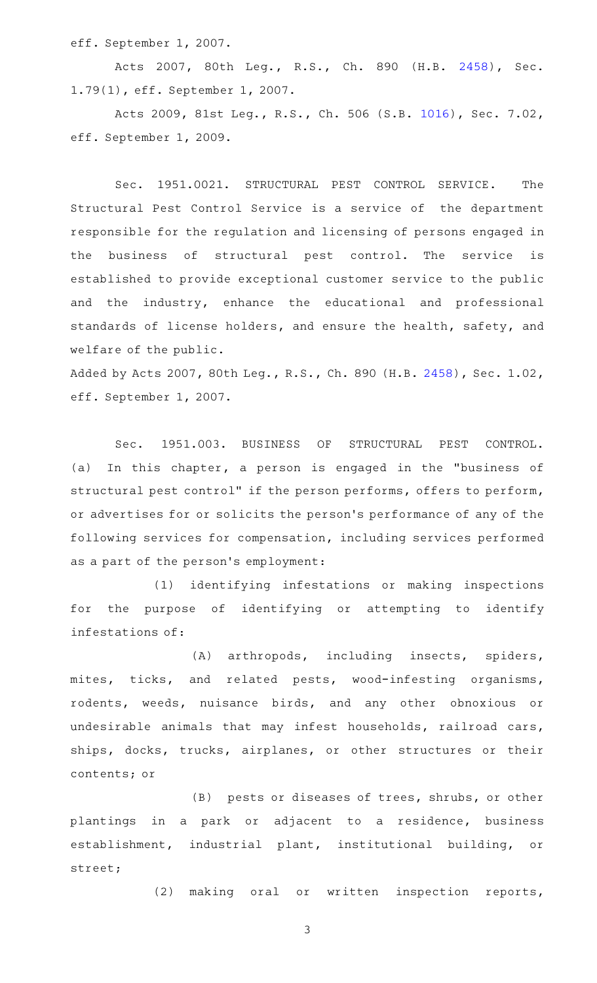eff. September 1, 2007.

Acts 2007, 80th Leg., R.S., Ch. 890 (H.B. [2458\)](http://www.legis.state.tx.us/tlodocs/80R/billtext/html/HB02458F.HTM), Sec. 1.79(1), eff. September 1, 2007.

Acts 2009, 81st Leg., R.S., Ch. 506 (S.B. [1016\)](http://www.legis.state.tx.us/tlodocs/81R/billtext/html/SB01016F.HTM), Sec. 7.02, eff. September 1, 2009.

Sec. 1951.0021. STRUCTURAL PEST CONTROL SERVICE. The Structural Pest Control Service is a service of the department responsible for the regulation and licensing of persons engaged in the business of structural pest control. The service is established to provide exceptional customer service to the public and the industry, enhance the educational and professional standards of license holders, and ensure the health, safety, and welfare of the public.

Added by Acts 2007, 80th Leg., R.S., Ch. 890 (H.B. [2458](http://www.legis.state.tx.us/tlodocs/80R/billtext/html/HB02458F.HTM)), Sec. 1.02, eff. September 1, 2007.

Sec. 1951.003. BUSINESS OF STRUCTURAL PEST CONTROL. (a) In this chapter, a person is engaged in the "business of structural pest control" if the person performs, offers to perform, or advertises for or solicits the person 's performance of any of the following services for compensation, including services performed as a part of the person 's employment:

(1) identifying infestations or making inspections for the purpose of identifying or attempting to identify infestations of:

(A) arthropods, including insects, spiders, mites, ticks, and related pests, wood-infesting organisms, rodents, weeds, nuisance birds, and any other obnoxious or undesirable animals that may infest households, railroad cars, ships, docks, trucks, airplanes, or other structures or their contents; or

(B) pests or diseases of trees, shrubs, or other plantings in a park or adjacent to a residence, business establishment, industrial plant, institutional building, or street;

(2) making oral or written inspection reports,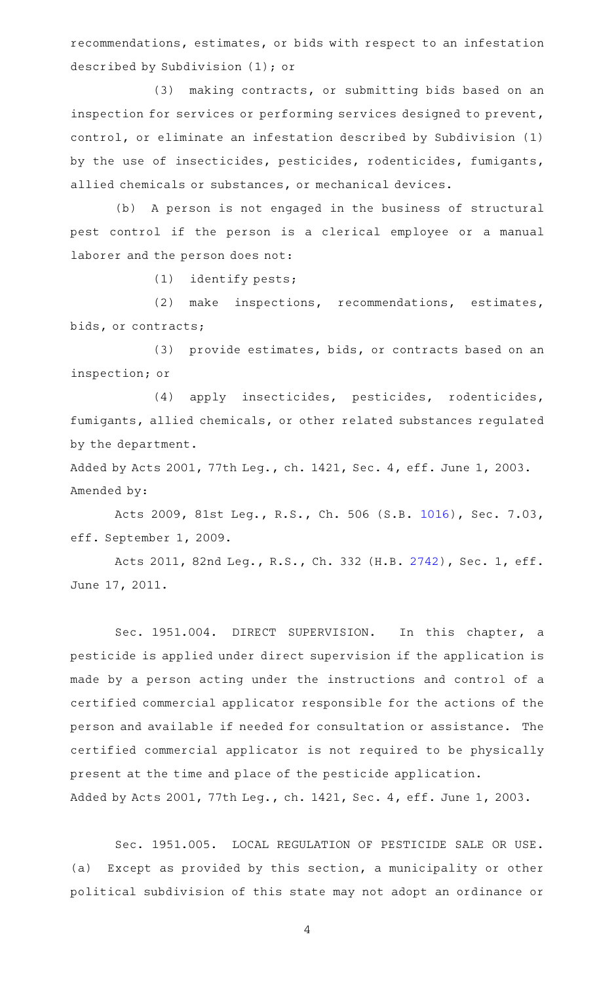recommendations, estimates, or bids with respect to an infestation described by Subdivision (1); or

(3) making contracts, or submitting bids based on an inspection for services or performing services designed to prevent, control, or eliminate an infestation described by Subdivision (1) by the use of insecticides, pesticides, rodenticides, fumigants, allied chemicals or substances, or mechanical devices.

(b) A person is not engaged in the business of structural pest control if the person is a clerical employee or a manual laborer and the person does not:

 $(1)$  identify pests;

(2) make inspections, recommendations, estimates, bids, or contracts;

(3) provide estimates, bids, or contracts based on an inspection; or

(4) apply insecticides, pesticides, rodenticides, fumigants, allied chemicals, or other related substances regulated by the department.

Added by Acts 2001, 77th Leg., ch. 1421, Sec. 4, eff. June 1, 2003. Amended by:

Acts 2009, 81st Leg., R.S., Ch. 506 (S.B. [1016\)](http://www.legis.state.tx.us/tlodocs/81R/billtext/html/SB01016F.HTM), Sec. 7.03, eff. September 1, 2009.

Acts 2011, 82nd Leg., R.S., Ch. 332 (H.B. [2742](http://www.legis.state.tx.us/tlodocs/82R/billtext/html/HB02742F.HTM)), Sec. 1, eff. June 17, 2011.

Sec. 1951.004. DIRECT SUPERVISION. In this chapter, a pesticide is applied under direct supervision if the application is made by a person acting under the instructions and control of a certified commercial applicator responsible for the actions of the person and available if needed for consultation or assistance. The certified commercial applicator is not required to be physically present at the time and place of the pesticide application. Added by Acts 2001, 77th Leg., ch. 1421, Sec. 4, eff. June 1, 2003.

Sec. 1951.005. LOCAL REGULATION OF PESTICIDE SALE OR USE. (a) Except as provided by this section, a municipality or other political subdivision of this state may not adopt an ordinance or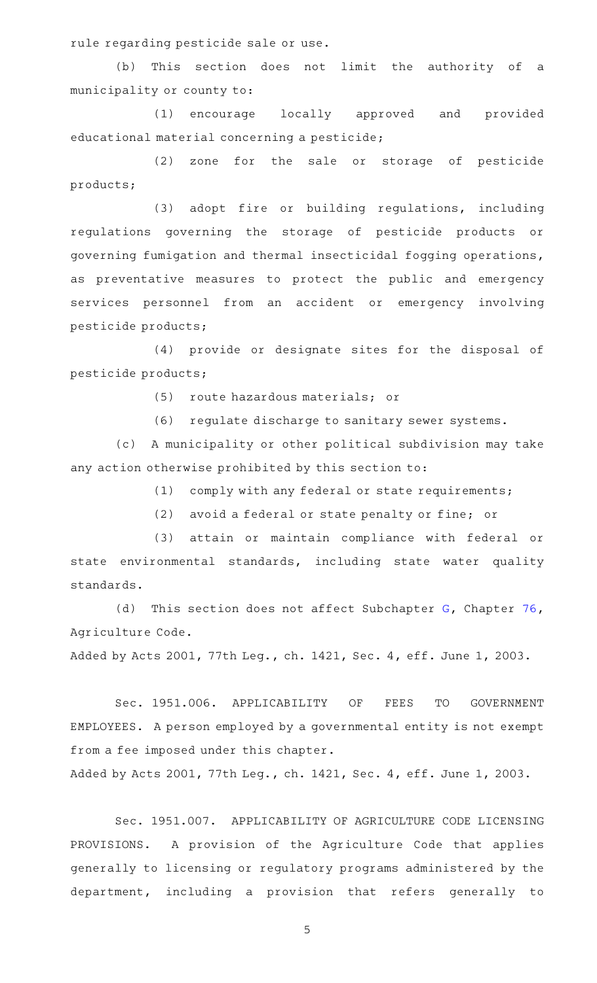rule regarding pesticide sale or use.

(b) This section does not limit the authority of a municipality or county to:

(1) encourage locally approved and provided educational material concerning a pesticide;

(2) zone for the sale or storage of pesticide products;

(3) adopt fire or building regulations, including regulations governing the storage of pesticide products or governing fumigation and thermal insecticidal fogging operations, as preventative measures to protect the public and emergency services personnel from an accident or emergency involving pesticide products;

(4) provide or designate sites for the disposal of pesticide products;

(5) route hazardous materials; or

(6) regulate discharge to sanitary sewer systems.

(c) A municipality or other political subdivision may take any action otherwise prohibited by this section to:

 $(1)$  comply with any federal or state requirements;

(2) avoid a federal or state penalty or fine; or

(3) attain or maintain compliance with federal or state environmental standards, including state water quality standards.

(d) This section does not affect Subchapter  $G$ , Chapter [76](http://www.statutes.legis.state.tx.us/GetStatute.aspx?Code=AG&Value=76), Agriculture Code.

Added by Acts 2001, 77th Leg., ch. 1421, Sec. 4, eff. June 1, 2003.

Sec. 1951.006. APPLICABILITY OF FEES TO GOVERNMENT EMPLOYEES. A person employed by a governmental entity is not exempt from a fee imposed under this chapter.

Added by Acts 2001, 77th Leg., ch. 1421, Sec. 4, eff. June 1, 2003.

Sec. 1951.007. APPLICABILITY OF AGRICULTURE CODE LICENSING PROVISIONS. A provision of the Agriculture Code that applies generally to licensing or regulatory programs administered by the department, including a provision that refers generally to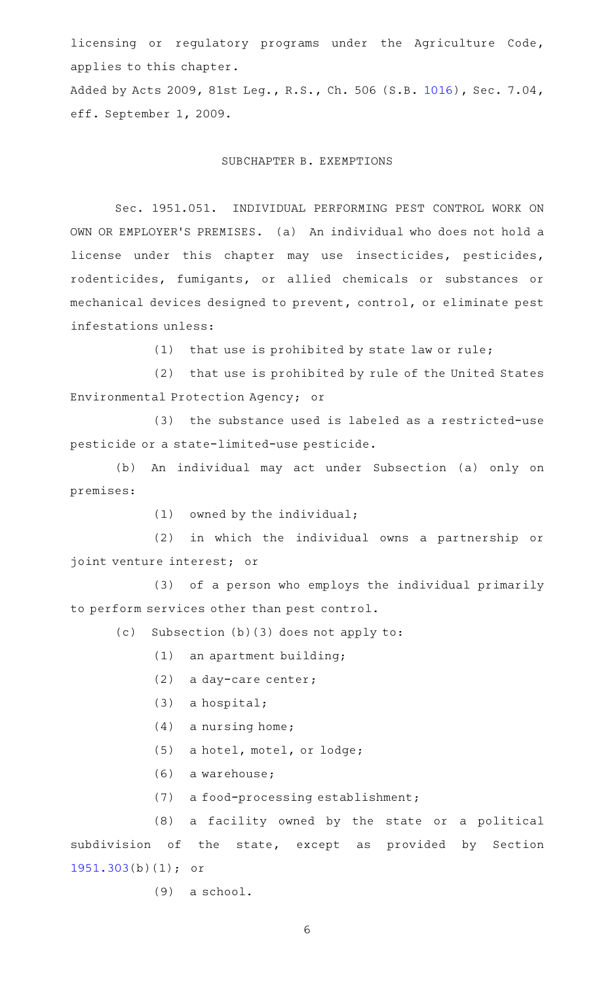licensing or regulatory programs under the Agriculture Code, applies to this chapter.

Added by Acts 2009, 81st Leg., R.S., Ch. 506 (S.B. [1016](http://www.legis.state.tx.us/tlodocs/81R/billtext/html/SB01016F.HTM)), Sec. 7.04, eff. September 1, 2009.

# SUBCHAPTER B. EXEMPTIONS

Sec. 1951.051. INDIVIDUAL PERFORMING PEST CONTROL WORK ON OWN OR EMPLOYER'S PREMISES. (a) An individual who does not hold a license under this chapter may use insecticides, pesticides, rodenticides, fumigants, or allied chemicals or substances or mechanical devices designed to prevent, control, or eliminate pest infestations unless:

 $(1)$  that use is prohibited by state law or rule;

(2) that use is prohibited by rule of the United States Environmental Protection Agency; or

(3) the substance used is labeled as a restricted-use pesticide or a state-limited-use pesticide.

(b) An individual may act under Subsection (a) only on premises:

 $(1)$  owned by the individual;

(2) in which the individual owns a partnership or joint venture interest; or

(3) of a person who employs the individual primarily to perform services other than pest control.

 $(c)$  Subsection  $(b)(3)$  does not apply to:

- $(1)$  an apartment building;
- (2) a day-care center;
- $(3)$  a hospital;
- $(4)$  a nursing home;
- (5) a hotel, motel, or lodge;
- (6) a warehouse;
- (7) a food-processing establishment;

(8) a facility owned by the state or a political subdivision of the state, except as provided by Section [1951.303](http://www.statutes.legis.state.tx.us/GetStatute.aspx?Code=OC&Value=1951.303)(b)(1); or

 $(9)$  a school.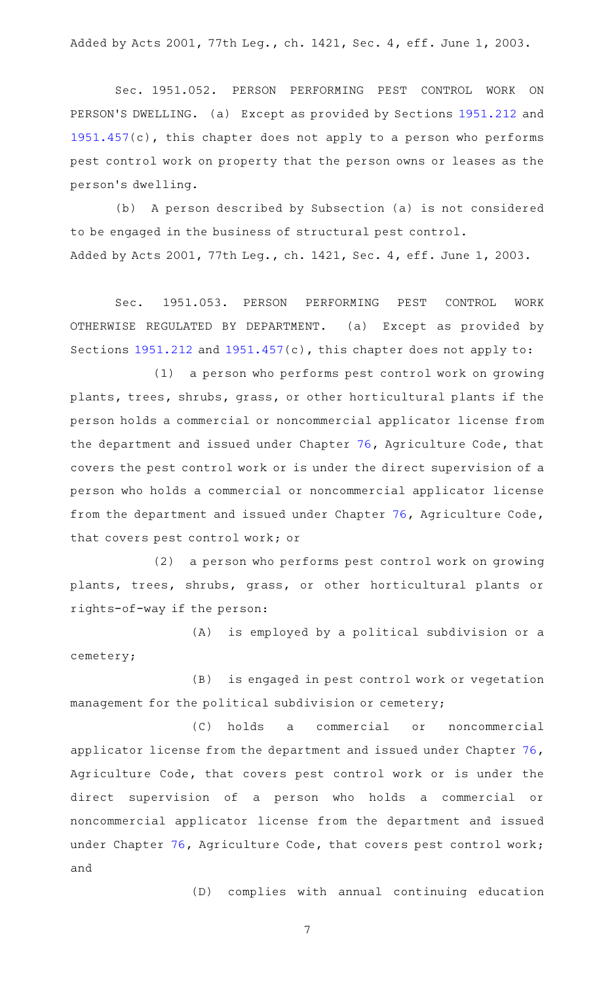Added by Acts 2001, 77th Leg., ch. 1421, Sec. 4, eff. June 1, 2003.

Sec. 1951.052. PERSON PERFORMING PEST CONTROL WORK ON PERSON'S DWELLING. (a) Except as provided by Sections [1951.212](http://www.statutes.legis.state.tx.us/GetStatute.aspx?Code=OC&Value=1951.212) and [1951.457](http://www.statutes.legis.state.tx.us/GetStatute.aspx?Code=OC&Value=1951.457)(c), this chapter does not apply to a person who performs pest control work on property that the person owns or leases as the person 's dwelling.

(b) A person described by Subsection (a) is not considered to be engaged in the business of structural pest control. Added by Acts 2001, 77th Leg., ch. 1421, Sec. 4, eff. June 1, 2003.

Sec. 1951.053. PERSON PERFORMING PEST CONTROL WORK OTHERWISE REGULATED BY DEPARTMENT. (a) Except as provided by Sections [1951.212](http://www.statutes.legis.state.tx.us/GetStatute.aspx?Code=OC&Value=1951.212) and [1951.457\(](http://www.statutes.legis.state.tx.us/GetStatute.aspx?Code=OC&Value=1951.457)c), this chapter does not apply to:

(1) a person who performs pest control work on growing plants, trees, shrubs, grass, or other horticultural plants if the person holds a commercial or noncommercial applicator license from the department and issued under Chapter [76,](http://www.statutes.legis.state.tx.us/GetStatute.aspx?Code=AG&Value=76) Agriculture Code, that covers the pest control work or is under the direct supervision of a person who holds a commercial or noncommercial applicator license from the department and issued under Chapter [76](http://www.statutes.legis.state.tx.us/GetStatute.aspx?Code=AG&Value=76), Agriculture Code, that covers pest control work; or

(2) a person who performs pest control work on growing plants, trees, shrubs, grass, or other horticultural plants or rights-of-way if the person:

(A) is employed by a political subdivision or a cemetery;

(B) is engaged in pest control work or vegetation management for the political subdivision or cemetery;

(C) holds a commercial or noncommercial applicator license from the department and issued under Chapter [76](http://www.statutes.legis.state.tx.us/GetStatute.aspx?Code=AG&Value=76), Agriculture Code, that covers pest control work or is under the direct supervision of a person who holds a commercial or noncommercial applicator license from the department and issued under Chapter [76](http://www.statutes.legis.state.tx.us/GetStatute.aspx?Code=AG&Value=76), Agriculture Code, that covers pest control work; and

(D) complies with annual continuing education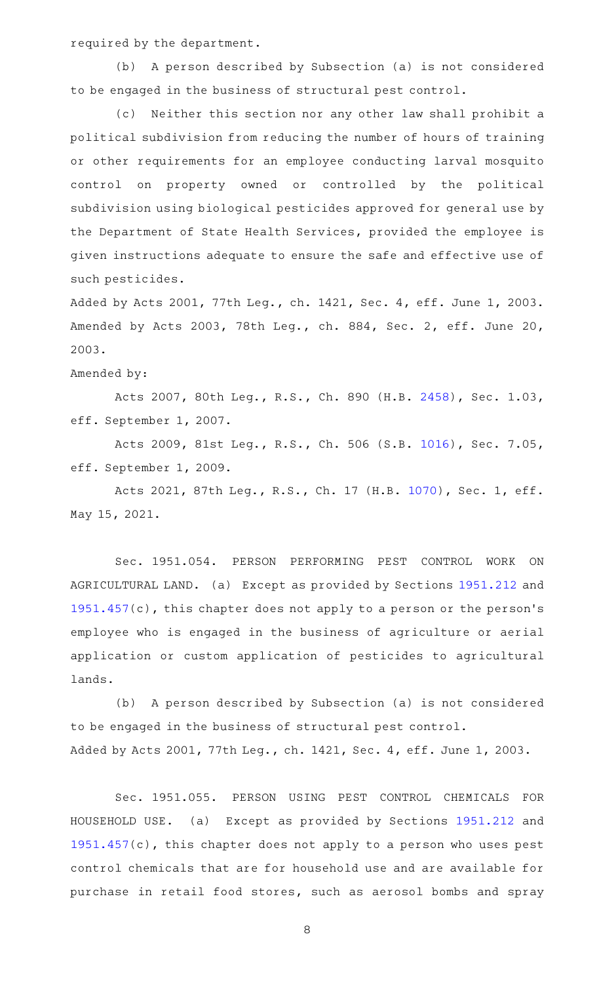required by the department.

(b) A person described by Subsection (a) is not considered to be engaged in the business of structural pest control.

(c) Neither this section nor any other law shall prohibit a political subdivision from reducing the number of hours of training or other requirements for an employee conducting larval mosquito control on property owned or controlled by the political subdivision using biological pesticides approved for general use by the Department of State Health Services, provided the employee is given instructions adequate to ensure the safe and effective use of such pesticides.

Added by Acts 2001, 77th Leg., ch. 1421, Sec. 4, eff. June 1, 2003. Amended by Acts 2003, 78th Leg., ch. 884, Sec. 2, eff. June 20, 2003.

Amended by:

Acts 2007, 80th Leg., R.S., Ch. 890 (H.B. [2458\)](http://www.legis.state.tx.us/tlodocs/80R/billtext/html/HB02458F.HTM), Sec. 1.03, eff. September 1, 2007.

Acts 2009, 81st Leg., R.S., Ch. 506 (S.B. [1016\)](http://www.legis.state.tx.us/tlodocs/81R/billtext/html/SB01016F.HTM), Sec. 7.05, eff. September 1, 2009.

Acts 2021, 87th Leg., R.S., Ch. 17 (H.B. [1070](http://www.legis.state.tx.us/tlodocs/87R/billtext/html/HB01070F.HTM)), Sec. 1, eff. May 15, 2021.

Sec. 1951.054. PERSON PERFORMING PEST CONTROL WORK ON AGRICULTURAL LAND. (a) Except as provided by Sections [1951.212](http://www.statutes.legis.state.tx.us/GetStatute.aspx?Code=OC&Value=1951.212) and [1951.457](http://www.statutes.legis.state.tx.us/GetStatute.aspx?Code=OC&Value=1951.457)(c), this chapter does not apply to a person or the person 's employee who is engaged in the business of agriculture or aerial application or custom application of pesticides to agricultural lands.

(b) A person described by Subsection (a) is not considered to be engaged in the business of structural pest control. Added by Acts 2001, 77th Leg., ch. 1421, Sec. 4, eff. June 1, 2003.

Sec. 1951.055. PERSON USING PEST CONTROL CHEMICALS FOR HOUSEHOLD USE. (a) Except as provided by Sections [1951.212](http://www.statutes.legis.state.tx.us/GetStatute.aspx?Code=OC&Value=1951.212) and [1951.457](http://www.statutes.legis.state.tx.us/GetStatute.aspx?Code=OC&Value=1951.457)(c), this chapter does not apply to a person who uses pest control chemicals that are for household use and are available for purchase in retail food stores, such as aerosol bombs and spray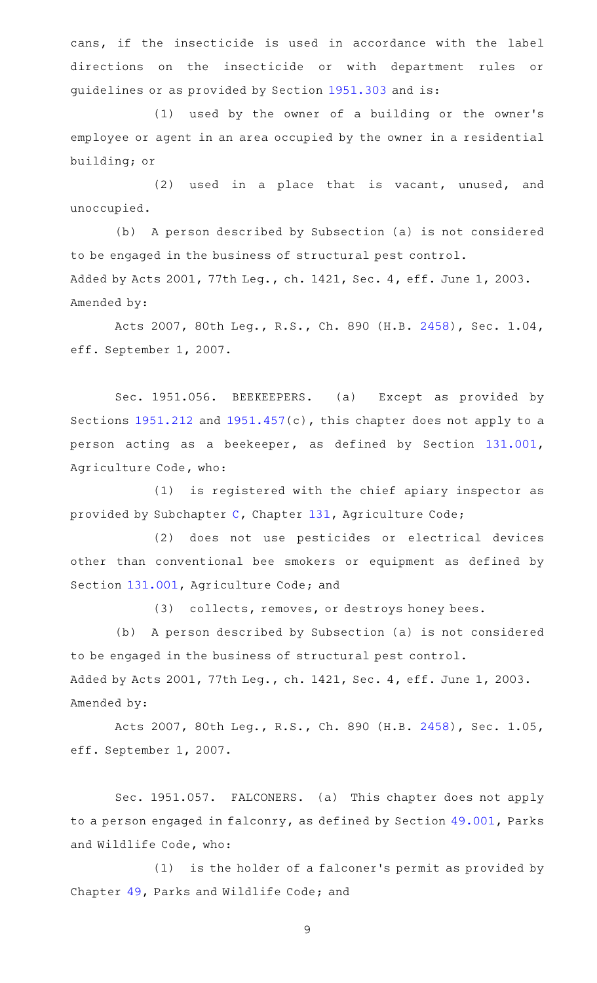cans, if the insecticide is used in accordance with the label directions on the insecticide or with department rules or guidelines or as provided by Section [1951.303](http://www.statutes.legis.state.tx.us/GetStatute.aspx?Code=OC&Value=1951.303) and is:

(1) used by the owner of a building or the owner's employee or agent in an area occupied by the owner in a residential building; or

 $(2)$  used in a place that is vacant, unused, and unoccupied.

(b) A person described by Subsection (a) is not considered to be engaged in the business of structural pest control. Added by Acts 2001, 77th Leg., ch. 1421, Sec. 4, eff. June 1, 2003. Amended by:

Acts 2007, 80th Leg., R.S., Ch. 890 (H.B. [2458\)](http://www.legis.state.tx.us/tlodocs/80R/billtext/html/HB02458F.HTM), Sec. 1.04, eff. September 1, 2007.

Sec. 1951.056. BEEKEEPERS. (a) Except as provided by Sections [1951.212](http://www.statutes.legis.state.tx.us/GetStatute.aspx?Code=OC&Value=1951.212) and [1951.457\(](http://www.statutes.legis.state.tx.us/GetStatute.aspx?Code=OC&Value=1951.457)c), this chapter does not apply to a person acting as a beekeeper, as defined by Section [131.001](http://www.statutes.legis.state.tx.us/GetStatute.aspx?Code=AG&Value=131.001), Agriculture Code, who:

 $(1)$  is registered with the chief apiary inspector as provided by Subchapter [C,](http://www.statutes.legis.state.tx.us/GetStatute.aspx?Code=AG&Value=131.041) Chapter [131,](http://www.statutes.legis.state.tx.us/GetStatute.aspx?Code=AG&Value=131) Agriculture Code;

(2) does not use pesticides or electrical devices other than conventional bee smokers or equipment as defined by Section [131.001,](http://www.statutes.legis.state.tx.us/GetStatute.aspx?Code=AG&Value=131.001) Agriculture Code; and

(3) collects, removes, or destroys honey bees.

(b) A person described by Subsection (a) is not considered to be engaged in the business of structural pest control. Added by Acts 2001, 77th Leg., ch. 1421, Sec. 4, eff. June 1, 2003. Amended by:

Acts 2007, 80th Leg., R.S., Ch. 890 (H.B. [2458\)](http://www.legis.state.tx.us/tlodocs/80R/billtext/html/HB02458F.HTM), Sec. 1.05, eff. September 1, 2007.

Sec. 1951.057. FALCONERS. (a) This chapter does not apply to a person engaged in falconry, as defined by Section [49.001,](http://www.statutes.legis.state.tx.us/GetStatute.aspx?Code=PW&Value=49.001) Parks and Wildlife Code, who:

 $(1)$  is the holder of a falconer's permit as provided by Chapter [49,](http://www.statutes.legis.state.tx.us/GetStatute.aspx?Code=PW&Value=49) Parks and Wildlife Code; and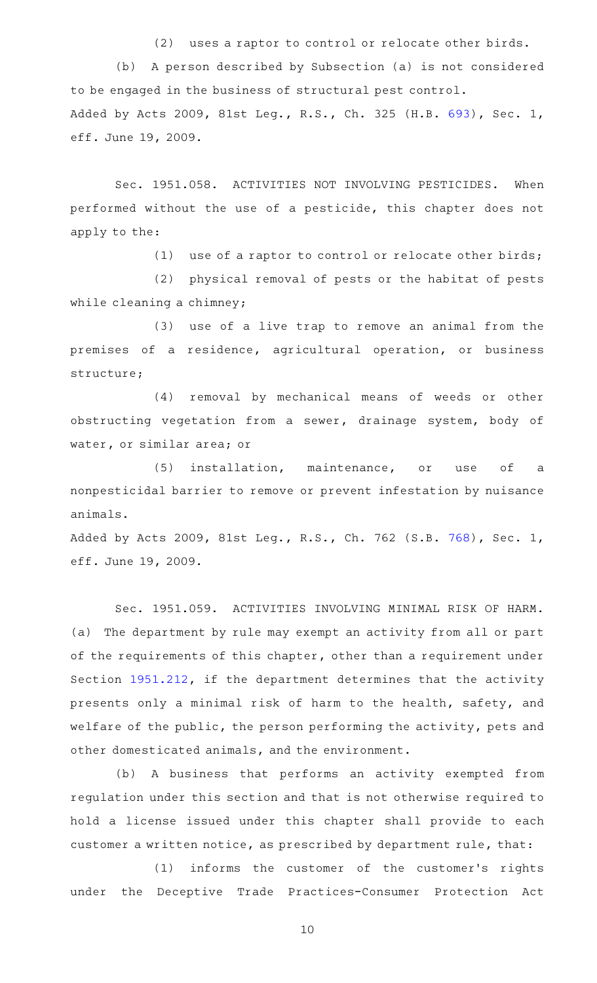(2) uses a raptor to control or relocate other birds. (b) A person described by Subsection (a) is not considered to be engaged in the business of structural pest control. Added by Acts 2009, 81st Leg., R.S., Ch. 325 (H.B. [693](http://www.legis.state.tx.us/tlodocs/81R/billtext/html/HB00693F.HTM)), Sec. 1, eff. June 19, 2009.

Sec. 1951.058. ACTIVITIES NOT INVOLVING PESTICIDES. When performed without the use of a pesticide, this chapter does not apply to the:

(1) use of a raptor to control or relocate other birds;

(2) physical removal of pests or the habitat of pests while cleaning a chimney;

(3) use of a live trap to remove an animal from the premises of a residence, agricultural operation, or business structure;

(4) removal by mechanical means of weeds or other obstructing vegetation from a sewer, drainage system, body of water, or similar area; or

(5) installation, maintenance, or use of a nonpesticidal barrier to remove or prevent infestation by nuisance animals.

Added by Acts 2009, 81st Leg., R.S., Ch. 762 (S.B. [768](http://www.legis.state.tx.us/tlodocs/81R/billtext/html/SB00768F.HTM)), Sec. 1, eff. June 19, 2009.

Sec. 1951.059. ACTIVITIES INVOLVING MINIMAL RISK OF HARM. (a) The department by rule may exempt an activity from all or part of the requirements of this chapter, other than a requirement under Section [1951.212](http://www.statutes.legis.state.tx.us/GetStatute.aspx?Code=OC&Value=1951.212), if the department determines that the activity presents only a minimal risk of harm to the health, safety, and welfare of the public, the person performing the activity, pets and other domesticated animals, and the environment.

(b) A business that performs an activity exempted from regulation under this section and that is not otherwise required to hold a license issued under this chapter shall provide to each customer a written notice, as prescribed by department rule, that:

(1) informs the customer of the customer's rights under the Deceptive Trade Practices-Consumer Protection Act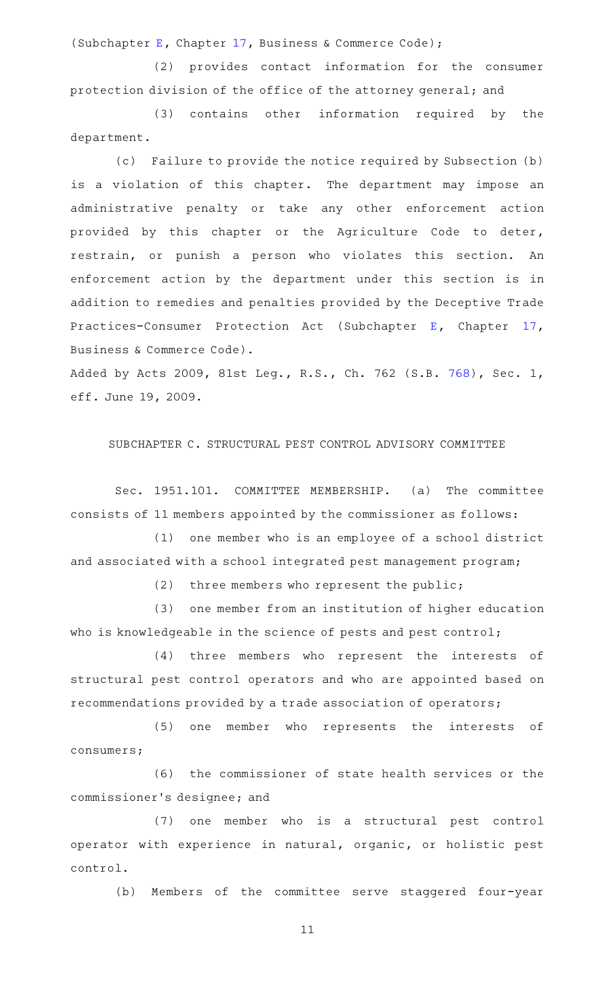(Subchapter [E,](http://www.statutes.legis.state.tx.us/GetStatute.aspx?Code=BC&Value=17.41) Chapter [17](http://www.statutes.legis.state.tx.us/GetStatute.aspx?Code=BC&Value=17), Business & Commerce Code);

(2) provides contact information for the consumer protection division of the office of the attorney general; and

(3) contains other information required by the department.

(c) Failure to provide the notice required by Subsection (b) is a violation of this chapter. The department may impose an administrative penalty or take any other enforcement action provided by this chapter or the Agriculture Code to deter, restrain, or punish a person who violates this section. An enforcement action by the department under this section is in addition to remedies and penalties provided by the Deceptive Trade Practices-Consumer Protection Act (Subchapter [E,](http://www.statutes.legis.state.tx.us/GetStatute.aspx?Code=BC&Value=17.41) Chapter [17](http://www.statutes.legis.state.tx.us/GetStatute.aspx?Code=BC&Value=17), Business & Commerce Code).

Added by Acts 2009, 81st Leg., R.S., Ch. 762 (S.B. [768](http://www.legis.state.tx.us/tlodocs/81R/billtext/html/SB00768F.HTM)), Sec. 1, eff. June 19, 2009.

SUBCHAPTER C. STRUCTURAL PEST CONTROL ADVISORY COMMITTEE

Sec. 1951.101. COMMITTEE MEMBERSHIP. (a) The committee consists of 11 members appointed by the commissioner as follows:

(1) one member who is an employee of a school district and associated with a school integrated pest management program;

(2) three members who represent the public;

(3) one member from an institution of higher education who is knowledgeable in the science of pests and pest control;

(4) three members who represent the interests of structural pest control operators and who are appointed based on recommendations provided by a trade association of operators;

(5) one member who represents the interests of consumers;

(6) the commissioner of state health services or the commissioner 's designee; and

(7) one member who is a structural pest control operator with experience in natural, organic, or holistic pest control.

(b) Members of the committee serve staggered four-year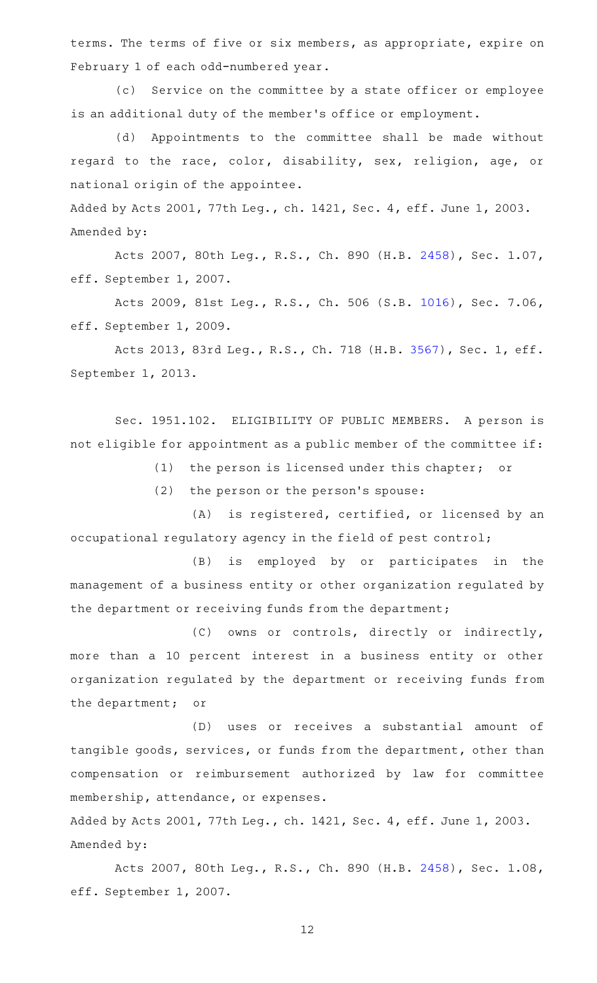terms. The terms of five or six members, as appropriate, expire on February 1 of each odd-numbered year.

(c) Service on the committee by a state officer or employee is an additional duty of the member 's office or employment.

(d) Appointments to the committee shall be made without regard to the race, color, disability, sex, religion, age, or national origin of the appointee.

Added by Acts 2001, 77th Leg., ch. 1421, Sec. 4, eff. June 1, 2003. Amended by:

Acts 2007, 80th Leg., R.S., Ch. 890 (H.B. [2458\)](http://www.legis.state.tx.us/tlodocs/80R/billtext/html/HB02458F.HTM), Sec. 1.07, eff. September 1, 2007.

Acts 2009, 81st Leg., R.S., Ch. 506 (S.B. [1016\)](http://www.legis.state.tx.us/tlodocs/81R/billtext/html/SB01016F.HTM), Sec. 7.06, eff. September 1, 2009.

Acts 2013, 83rd Leg., R.S., Ch. 718 (H.B. [3567](http://www.legis.state.tx.us/tlodocs/83R/billtext/html/HB03567F.HTM)), Sec. 1, eff. September 1, 2013.

Sec. 1951.102. ELIGIBILITY OF PUBLIC MEMBERS. A person is not eligible for appointment as a public member of the committee if:

(1) the person is licensed under this chapter; or

 $(2)$  the person or the person's spouse:

(A) is registered, certified, or licensed by an occupational regulatory agency in the field of pest control;

(B) is employed by or participates in the management of a business entity or other organization regulated by the department or receiving funds from the department;

(C) owns or controls, directly or indirectly, more than a 10 percent interest in a business entity or other organization regulated by the department or receiving funds from the department; or

(D) uses or receives a substantial amount of tangible goods, services, or funds from the department, other than compensation or reimbursement authorized by law for committee membership, attendance, or expenses.

Added by Acts 2001, 77th Leg., ch. 1421, Sec. 4, eff. June 1, 2003. Amended by:

Acts 2007, 80th Leg., R.S., Ch. 890 (H.B. [2458\)](http://www.legis.state.tx.us/tlodocs/80R/billtext/html/HB02458F.HTM), Sec. 1.08, eff. September 1, 2007.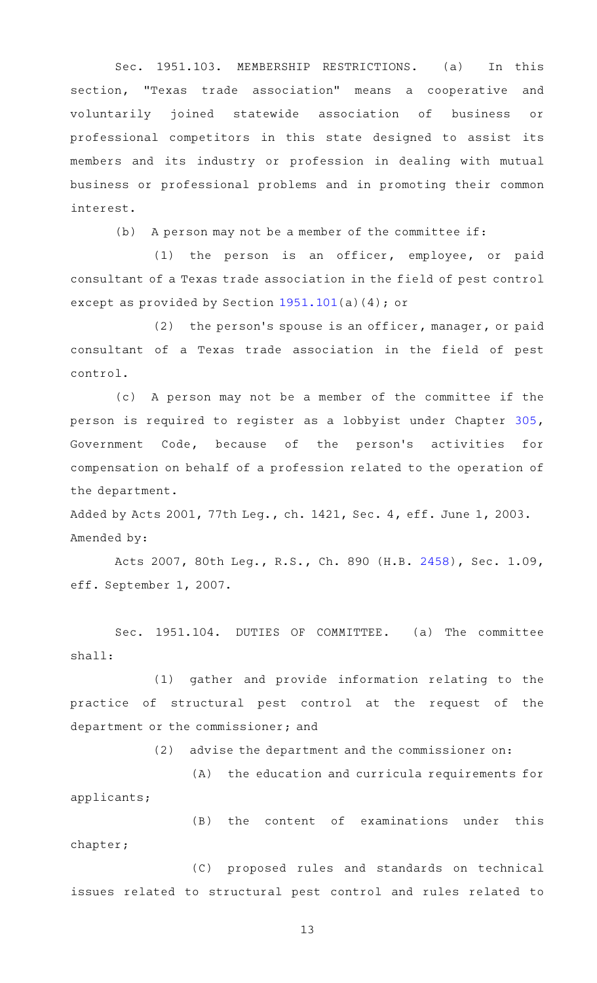Sec. 1951.103. MEMBERSHIP RESTRICTIONS. (a) In this section, "Texas trade association" means a cooperative and voluntarily joined statewide association of business or professional competitors in this state designed to assist its members and its industry or profession in dealing with mutual business or professional problems and in promoting their common interest.

 $(b)$  A person may not be a member of the committee if:

 $(1)$  the person is an officer, employee, or paid consultant of a Texas trade association in the field of pest control except as provided by Section [1951.101](http://www.statutes.legis.state.tx.us/GetStatute.aspx?Code=OC&Value=1951.101)(a)(4); or

(2) the person's spouse is an officer, manager, or paid consultant of a Texas trade association in the field of pest control.

(c)AAA person may not be a member of the committee if the person is required to register as a lobbyist under Chapter [305](http://www.statutes.legis.state.tx.us/GetStatute.aspx?Code=GV&Value=305), Government Code, because of the person's activities for compensation on behalf of a profession related to the operation of the department.

Added by Acts 2001, 77th Leg., ch. 1421, Sec. 4, eff. June 1, 2003. Amended by:

Acts 2007, 80th Leg., R.S., Ch. 890 (H.B. [2458\)](http://www.legis.state.tx.us/tlodocs/80R/billtext/html/HB02458F.HTM), Sec. 1.09, eff. September 1, 2007.

Sec. 1951.104. DUTIES OF COMMITTEE. (a) The committee shall:

(1) gather and provide information relating to the practice of structural pest control at the request of the department or the commissioner; and

 $(2)$  advise the department and the commissioner on:

(A) the education and curricula requirements for applicants;

(B) the content of examinations under this chapter;

(C) proposed rules and standards on technical issues related to structural pest control and rules related to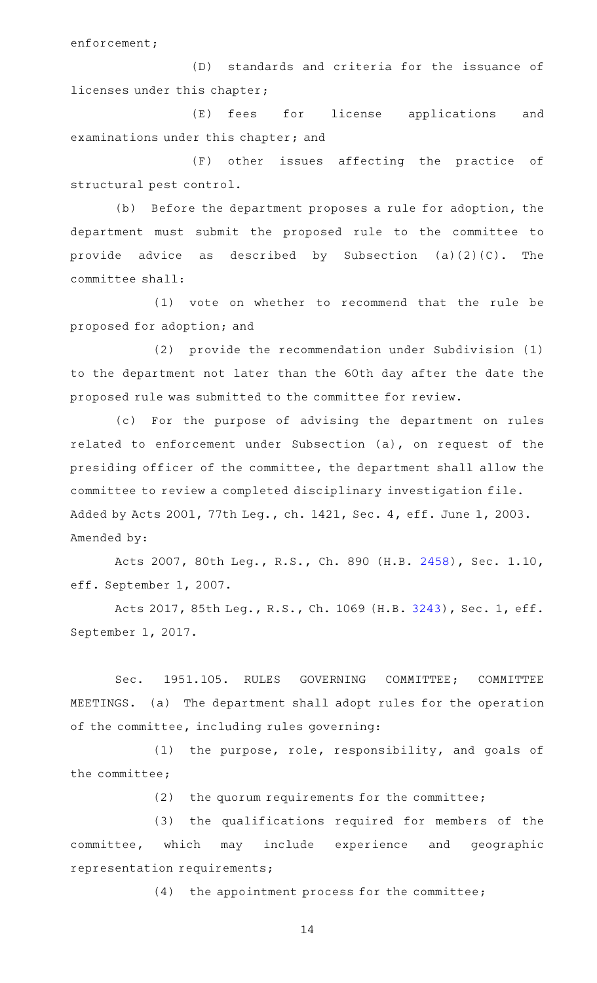enforcement;

(D) standards and criteria for the issuance of licenses under this chapter;

(E) fees for license applications and examinations under this chapter; and

(F) other issues affecting the practice of structural pest control.

(b) Before the department proposes a rule for adoption, the department must submit the proposed rule to the committee to provide advice as described by Subsection  $(a)(2)(C)$ . The committee shall:

(1) vote on whether to recommend that the rule be proposed for adoption; and

(2) provide the recommendation under Subdivision (1) to the department not later than the 60th day after the date the proposed rule was submitted to the committee for review.

(c) For the purpose of advising the department on rules related to enforcement under Subsection (a), on request of the presiding officer of the committee, the department shall allow the committee to review a completed disciplinary investigation file. Added by Acts 2001, 77th Leg., ch. 1421, Sec. 4, eff. June 1, 2003. Amended by:

Acts 2007, 80th Leg., R.S., Ch. 890 (H.B. [2458\)](http://www.legis.state.tx.us/tlodocs/80R/billtext/html/HB02458F.HTM), Sec. 1.10, eff. September 1, 2007.

Acts 2017, 85th Leg., R.S., Ch. 1069 (H.B. [3243](http://www.legis.state.tx.us/tlodocs/85R/billtext/html/HB03243F.HTM)), Sec. 1, eff. September 1, 2017.

Sec. 1951.105. RULES GOVERNING COMMITTEE; COMMITTEE MEETINGS. (a) The department shall adopt rules for the operation of the committee, including rules governing:

 $(1)$  the purpose, role, responsibility, and goals of the committee;

(2) the quorum requirements for the committee;

(3) the qualifications required for members of the committee, which may include experience and geographic representation requirements;

 $(4)$  the appointment process for the committee;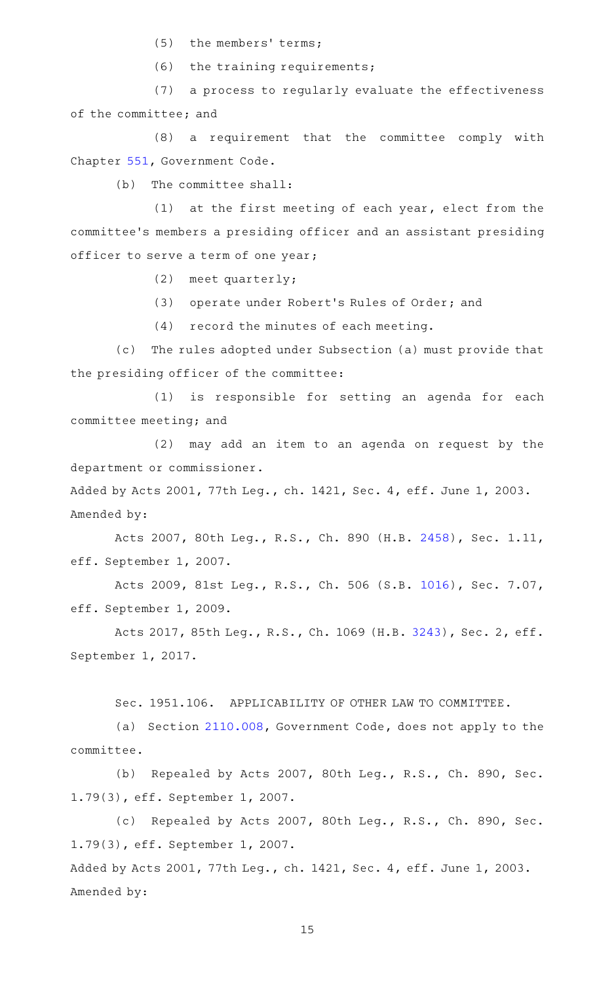(5) the members' terms;

 $(6)$  the training requirements;

(7) a process to regularly evaluate the effectiveness of the committee; and

(8) a requirement that the committee comply with Chapter [551,](http://www.statutes.legis.state.tx.us/GetStatute.aspx?Code=GV&Value=551) Government Code.

(b) The committee shall:

(1) at the first meeting of each year, elect from the committee 's members a presiding officer and an assistant presiding officer to serve a term of one year;

(2) meet quarterly;

(3) operate under Robert's Rules of Order; and

 $(4)$  record the minutes of each meeting.

(c) The rules adopted under Subsection (a) must provide that the presiding officer of the committee:

(1) is responsible for setting an agenda for each committee meeting; and

 $(2)$  may add an item to an agenda on request by the department or commissioner.

Added by Acts 2001, 77th Leg., ch. 1421, Sec. 4, eff. June 1, 2003. Amended by:

Acts 2007, 80th Leg., R.S., Ch. 890 (H.B. [2458\)](http://www.legis.state.tx.us/tlodocs/80R/billtext/html/HB02458F.HTM), Sec. 1.11, eff. September 1, 2007.

Acts 2009, 81st Leg., R.S., Ch. 506 (S.B. [1016\)](http://www.legis.state.tx.us/tlodocs/81R/billtext/html/SB01016F.HTM), Sec. 7.07, eff. September 1, 2009.

Acts 2017, 85th Leg., R.S., Ch. 1069 (H.B. [3243](http://www.legis.state.tx.us/tlodocs/85R/billtext/html/HB03243F.HTM)), Sec. 2, eff. September 1, 2017.

Sec. 1951.106. APPLICABILITY OF OTHER LAW TO COMMITTEE.

(a) Section [2110.008](http://www.statutes.legis.state.tx.us/GetStatute.aspx?Code=GV&Value=2110.008), Government Code, does not apply to the committee.

(b) Repealed by Acts 2007, 80th Leg., R.S., Ch. 890, Sec. 1.79(3), eff. September 1, 2007.

(c) Repealed by Acts 2007, 80th Leg., R.S., Ch. 890, Sec. 1.79(3), eff. September 1, 2007. Added by Acts 2001, 77th Leg., ch. 1421, Sec. 4, eff. June 1, 2003.

Amended by: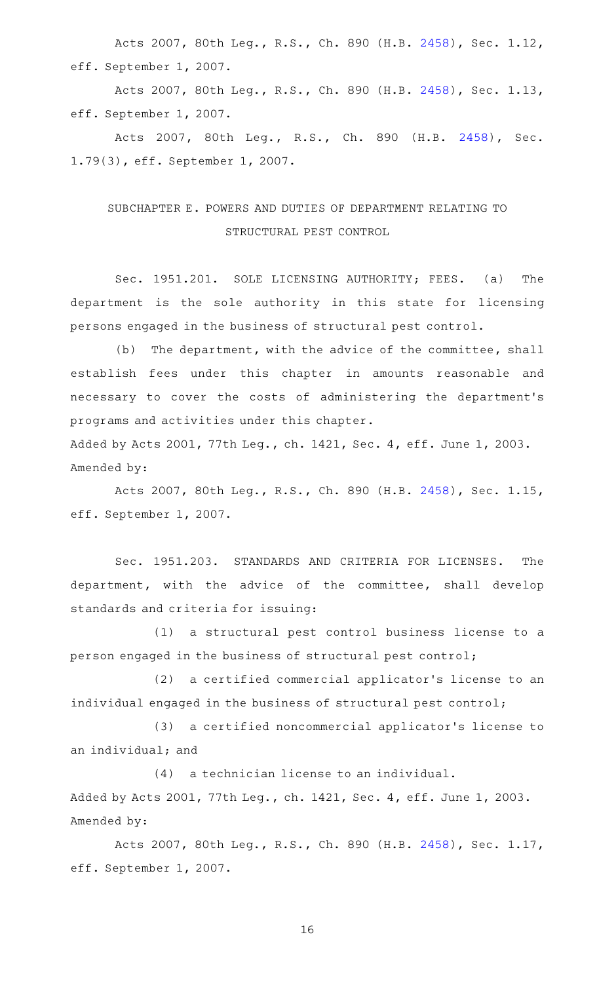Acts 2007, 80th Leg., R.S., Ch. 890 (H.B. [2458\)](http://www.legis.state.tx.us/tlodocs/80R/billtext/html/HB02458F.HTM), Sec. 1.12, eff. September 1, 2007.

Acts 2007, 80th Leg., R.S., Ch. 890 (H.B. [2458\)](http://www.legis.state.tx.us/tlodocs/80R/billtext/html/HB02458F.HTM), Sec. 1.13, eff. September 1, 2007.

Acts 2007, 80th Leg., R.S., Ch. 890 (H.B. [2458\)](http://www.legis.state.tx.us/tlodocs/80R/billtext/html/HB02458F.HTM), Sec. 1.79(3), eff. September 1, 2007.

# SUBCHAPTER E. POWERS AND DUTIES OF DEPARTMENT RELATING TO STRUCTURAL PEST CONTROL

Sec. 1951.201. SOLE LICENSING AUTHORITY; FEES. (a) The department is the sole authority in this state for licensing persons engaged in the business of structural pest control.

(b) The department, with the advice of the committee, shall establish fees under this chapter in amounts reasonable and necessary to cover the costs of administering the department 's programs and activities under this chapter.

Added by Acts 2001, 77th Leg., ch. 1421, Sec. 4, eff. June 1, 2003. Amended by:

Acts 2007, 80th Leg., R.S., Ch. 890 (H.B. [2458\)](http://www.legis.state.tx.us/tlodocs/80R/billtext/html/HB02458F.HTM), Sec. 1.15, eff. September 1, 2007.

Sec. 1951.203. STANDARDS AND CRITERIA FOR LICENSES. The department, with the advice of the committee, shall develop standards and criteria for issuing:

(1) a structural pest control business license to a person engaged in the business of structural pest control;

(2) a certified commercial applicator's license to an individual engaged in the business of structural pest control;

(3) a certified noncommercial applicator's license to an individual; and

(4) a technician license to an individual. Added by Acts 2001, 77th Leg., ch. 1421, Sec. 4, eff. June 1, 2003. Amended by:

Acts 2007, 80th Leg., R.S., Ch. 890 (H.B. [2458\)](http://www.legis.state.tx.us/tlodocs/80R/billtext/html/HB02458F.HTM), Sec. 1.17, eff. September 1, 2007.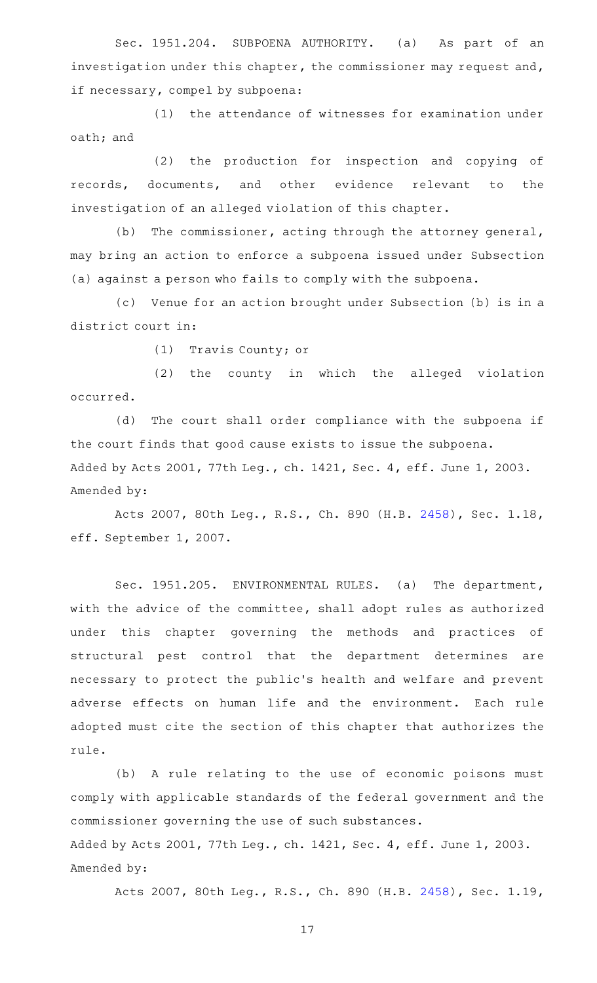Sec. 1951.204. SUBPOENA AUTHORITY. (a) As part of an investigation under this chapter, the commissioner may request and, if necessary, compel by subpoena:

(1) the attendance of witnesses for examination under oath; and

(2) the production for inspection and copying of records, documents, and other evidence relevant to the investigation of an alleged violation of this chapter.

(b) The commissioner, acting through the attorney general, may bring an action to enforce a subpoena issued under Subsection (a) against a person who fails to comply with the subpoena.

(c) Venue for an action brought under Subsection (b) is in a district court in:

(1) Travis County; or

(2) the county in which the alleged violation occurred.

(d) The court shall order compliance with the subpoena if the court finds that good cause exists to issue the subpoena. Added by Acts 2001, 77th Leg., ch. 1421, Sec. 4, eff. June 1, 2003. Amended by:

Acts 2007, 80th Leg., R.S., Ch. 890 (H.B. [2458\)](http://www.legis.state.tx.us/tlodocs/80R/billtext/html/HB02458F.HTM), Sec. 1.18, eff. September 1, 2007.

Sec. 1951.205. ENVIRONMENTAL RULES. (a) The department, with the advice of the committee, shall adopt rules as authorized under this chapter governing the methods and practices of structural pest control that the department determines are necessary to protect the public 's health and welfare and prevent adverse effects on human life and the environment. Each rule adopted must cite the section of this chapter that authorizes the rule.

(b) A rule relating to the use of economic poisons must comply with applicable standards of the federal government and the commissioner governing the use of such substances. Added by Acts 2001, 77th Leg., ch. 1421, Sec. 4, eff. June 1, 2003. Amended by:

Acts 2007, 80th Leg., R.S., Ch. 890 (H.B. [2458\)](http://www.legis.state.tx.us/tlodocs/80R/billtext/html/HB02458F.HTM), Sec. 1.19,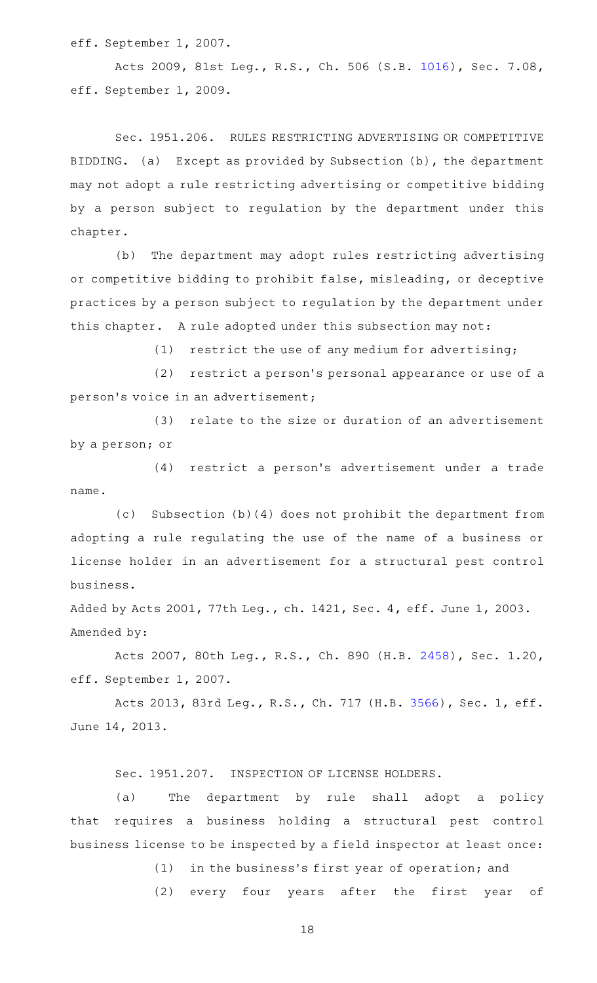eff. September 1, 2007.

Acts 2009, 81st Leg., R.S., Ch. 506 (S.B. [1016\)](http://www.legis.state.tx.us/tlodocs/81R/billtext/html/SB01016F.HTM), Sec. 7.08, eff. September 1, 2009.

Sec. 1951.206. RULES RESTRICTING ADVERTISING OR COMPETITIVE BIDDING. (a) Except as provided by Subsection (b), the department may not adopt a rule restricting advertising or competitive bidding by a person subject to regulation by the department under this chapter.

(b) The department may adopt rules restricting advertising or competitive bidding to prohibit false, misleading, or deceptive practices by a person subject to regulation by the department under this chapter. A rule adopted under this subsection may not:

 $(1)$  restrict the use of any medium for advertising;

(2) restrict a person's personal appearance or use of a person's voice in an advertisement;

(3) relate to the size or duration of an advertisement by a person; or

(4) restrict a person's advertisement under a trade name.

(c) Subsection (b)(4) does not prohibit the department from adopting a rule regulating the use of the name of a business or license holder in an advertisement for a structural pest control business.

Added by Acts 2001, 77th Leg., ch. 1421, Sec. 4, eff. June 1, 2003. Amended by:

Acts 2007, 80th Leg., R.S., Ch. 890 (H.B. [2458\)](http://www.legis.state.tx.us/tlodocs/80R/billtext/html/HB02458F.HTM), Sec. 1.20, eff. September 1, 2007.

Acts 2013, 83rd Leg., R.S., Ch. 717 (H.B. [3566](http://www.legis.state.tx.us/tlodocs/83R/billtext/html/HB03566F.HTM)), Sec. 1, eff. June 14, 2013.

Sec. 1951.207. INSPECTION OF LICENSE HOLDERS.

(a) The department by rule shall adopt a policy that requires a business holding a structural pest control business license to be inspected by a field inspector at least once:

(1) in the business's first year of operation; and

(2) every four years after the first year of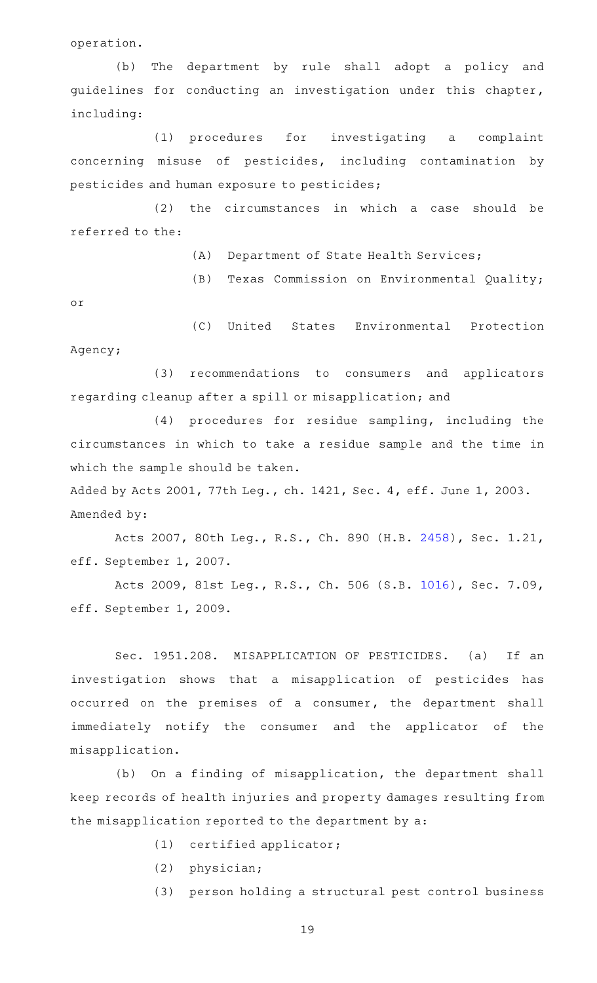operation.

(b) The department by rule shall adopt a policy and guidelines for conducting an investigation under this chapter, including:

(1) procedures for investigating a complaint concerning misuse of pesticides, including contamination by pesticides and human exposure to pesticides;

 $(2)$  the circumstances in which a case should be referred to the:

(A) Department of State Health Services;

(B) Texas Commission on Environmental Quality;

or

(C) United States Environmental Protection Agency;

(3) recommendations to consumers and applicators regarding cleanup after a spill or misapplication; and

(4) procedures for residue sampling, including the circumstances in which to take a residue sample and the time in which the sample should be taken.

Added by Acts 2001, 77th Leg., ch. 1421, Sec. 4, eff. June 1, 2003. Amended by:

Acts 2007, 80th Leg., R.S., Ch. 890 (H.B. [2458\)](http://www.legis.state.tx.us/tlodocs/80R/billtext/html/HB02458F.HTM), Sec. 1.21, eff. September 1, 2007.

Acts 2009, 81st Leg., R.S., Ch. 506 (S.B. [1016\)](http://www.legis.state.tx.us/tlodocs/81R/billtext/html/SB01016F.HTM), Sec. 7.09, eff. September 1, 2009.

Sec. 1951.208. MISAPPLICATION OF PESTICIDES. (a) If an investigation shows that a misapplication of pesticides has occurred on the premises of a consumer, the department shall immediately notify the consumer and the applicator of the misapplication.

(b) On a finding of misapplication, the department shall keep records of health injuries and property damages resulting from the misapplication reported to the department by a:

- $(1)$  certified applicator;
- $(2)$  physician;
- (3) person holding a structural pest control business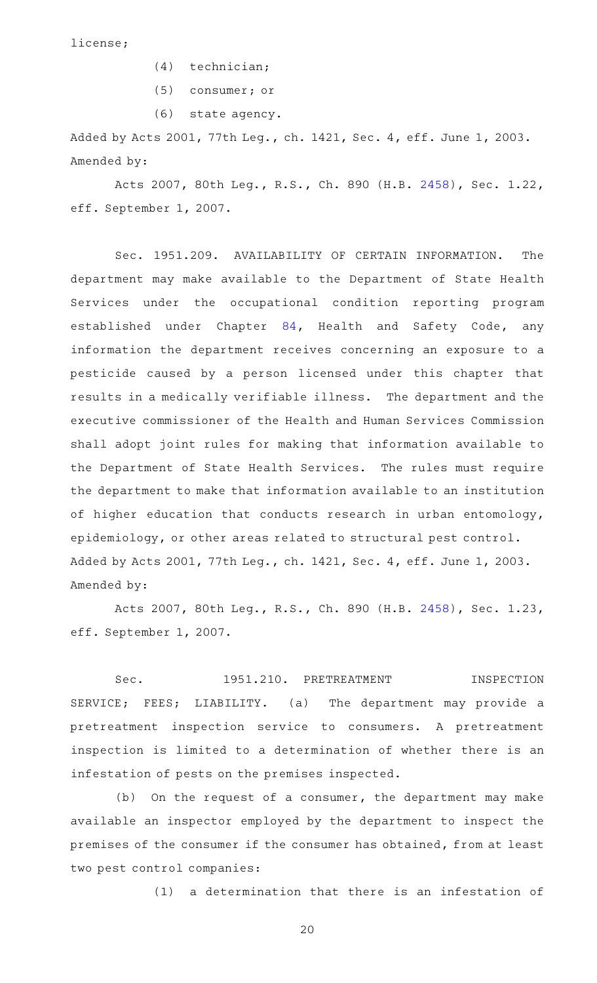license;

- $(4)$  technician;
- (5) consumer; or
- (6) state agency.

Added by Acts 2001, 77th Leg., ch. 1421, Sec. 4, eff. June 1, 2003. Amended by:

Acts 2007, 80th Leg., R.S., Ch. 890 (H.B. [2458\)](http://www.legis.state.tx.us/tlodocs/80R/billtext/html/HB02458F.HTM), Sec. 1.22, eff. September 1, 2007.

Sec. 1951.209. AVAILABILITY OF CERTAIN INFORMATION. The department may make available to the Department of State Health Services under the occupational condition reporting program established under Chapter [84](http://www.statutes.legis.state.tx.us/GetStatute.aspx?Code=HS&Value=84), Health and Safety Code, any information the department receives concerning an exposure to a pesticide caused by a person licensed under this chapter that results in a medically verifiable illness. The department and the executive commissioner of the Health and Human Services Commission shall adopt joint rules for making that information available to the Department of State Health Services. The rules must require the department to make that information available to an institution of higher education that conducts research in urban entomology, epidemiology, or other areas related to structural pest control. Added by Acts 2001, 77th Leg., ch. 1421, Sec. 4, eff. June 1, 2003. Amended by:

Acts 2007, 80th Leg., R.S., Ch. 890 (H.B. [2458\)](http://www.legis.state.tx.us/tlodocs/80R/billtext/html/HB02458F.HTM), Sec. 1.23, eff. September 1, 2007.

Sec. 1951.210. PRETREATMENT INSPECTION SERVICE; FEES; LIABILITY. (a) The department may provide a pretreatment inspection service to consumers. A pretreatment inspection is limited to a determination of whether there is an infestation of pests on the premises inspected.

 $(b)$  On the request of a consumer, the department may make available an inspector employed by the department to inspect the premises of the consumer if the consumer has obtained, from at least two pest control companies:

(1) a determination that there is an infestation of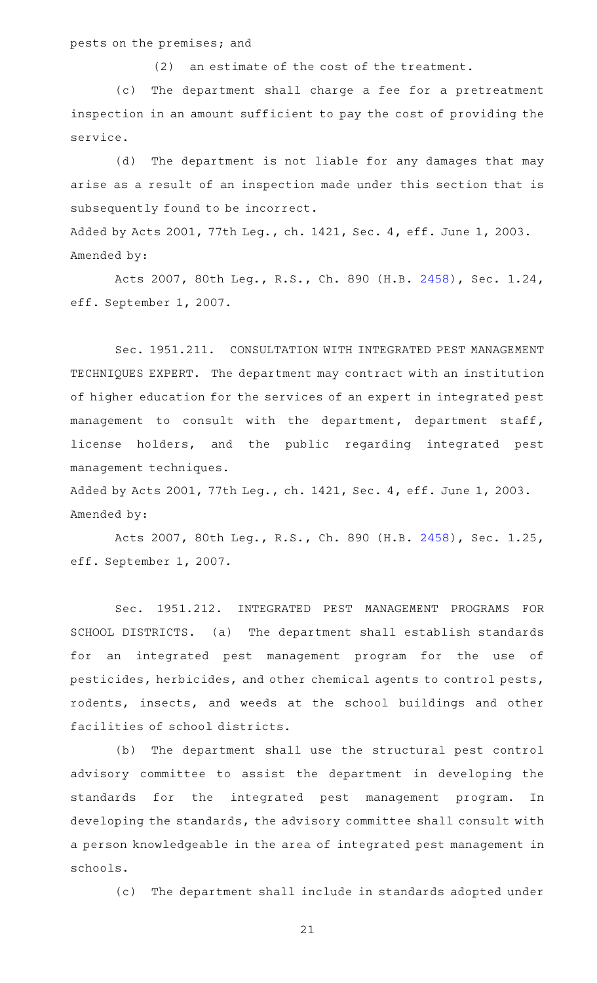#### pests on the premises; and

 $(2)$  an estimate of the cost of the treatment.

(c) The department shall charge a fee for a pretreatment inspection in an amount sufficient to pay the cost of providing the service.

(d) The department is not liable for any damages that may arise as a result of an inspection made under this section that is subsequently found to be incorrect.

Added by Acts 2001, 77th Leg., ch. 1421, Sec. 4, eff. June 1, 2003. Amended by:

Acts 2007, 80th Leg., R.S., Ch. 890 (H.B. [2458\)](http://www.legis.state.tx.us/tlodocs/80R/billtext/html/HB02458F.HTM), Sec. 1.24, eff. September 1, 2007.

Sec. 1951.211. CONSULTATION WITH INTEGRATED PEST MANAGEMENT TECHNIQUES EXPERT. The department may contract with an institution of higher education for the services of an expert in integrated pest management to consult with the department, department staff, license holders, and the public regarding integrated pest management techniques.

Added by Acts 2001, 77th Leg., ch. 1421, Sec. 4, eff. June 1, 2003. Amended by:

Acts 2007, 80th Leg., R.S., Ch. 890 (H.B. [2458\)](http://www.legis.state.tx.us/tlodocs/80R/billtext/html/HB02458F.HTM), Sec. 1.25, eff. September 1, 2007.

Sec. 1951.212. INTEGRATED PEST MANAGEMENT PROGRAMS FOR SCHOOL DISTRICTS. (a) The department shall establish standards for an integrated pest management program for the use of pesticides, herbicides, and other chemical agents to control pests, rodents, insects, and weeds at the school buildings and other facilities of school districts.

(b) The department shall use the structural pest control advisory committee to assist the department in developing the standards for the integrated pest management program. In developing the standards, the advisory committee shall consult with a person knowledgeable in the area of integrated pest management in schools.

(c) The department shall include in standards adopted under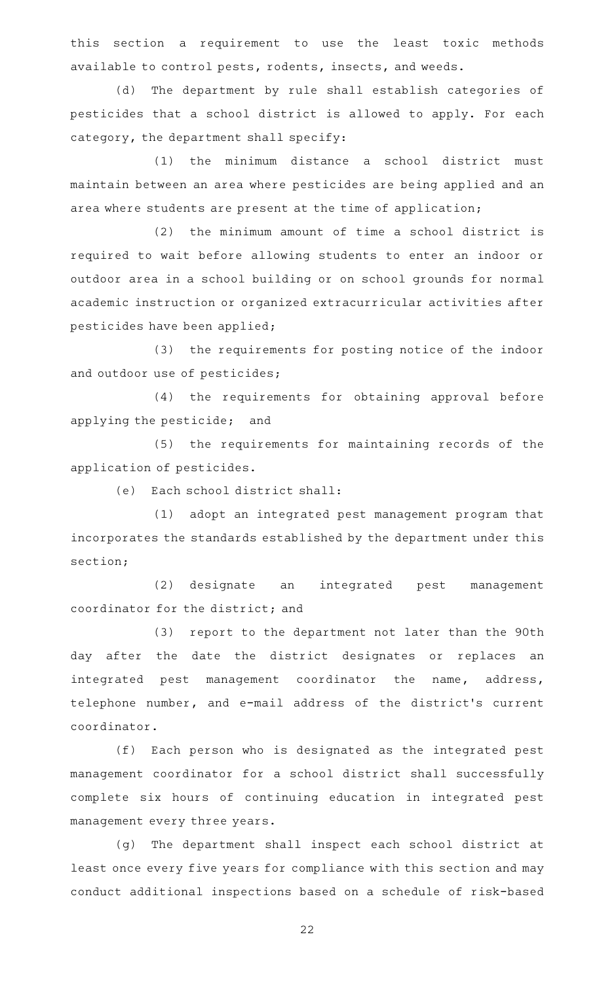this section a requirement to use the least toxic methods available to control pests, rodents, insects, and weeds.

(d) The department by rule shall establish categories of pesticides that a school district is allowed to apply. For each category, the department shall specify:

 $(1)$  the minimum distance a school district must maintain between an area where pesticides are being applied and an area where students are present at the time of application;

 $(2)$  the minimum amount of time a school district is required to wait before allowing students to enter an indoor or outdoor area in a school building or on school grounds for normal academic instruction or organized extracurricular activities after pesticides have been applied;

(3) the requirements for posting notice of the indoor and outdoor use of pesticides;

(4) the requirements for obtaining approval before applying the pesticide; and

(5) the requirements for maintaining records of the application of pesticides.

(e) Each school district shall:

(1) adopt an integrated pest management program that incorporates the standards established by the department under this section;

(2) designate an integrated pest management coordinator for the district; and

(3) report to the department not later than the 90th day after the date the district designates or replaces an integrated pest management coordinator the name, address, telephone number, and e-mail address of the district 's current coordinator.

(f) Each person who is designated as the integrated pest management coordinator for a school district shall successfully complete six hours of continuing education in integrated pest management every three years.

(g) The department shall inspect each school district at least once every five years for compliance with this section and may conduct additional inspections based on a schedule of risk-based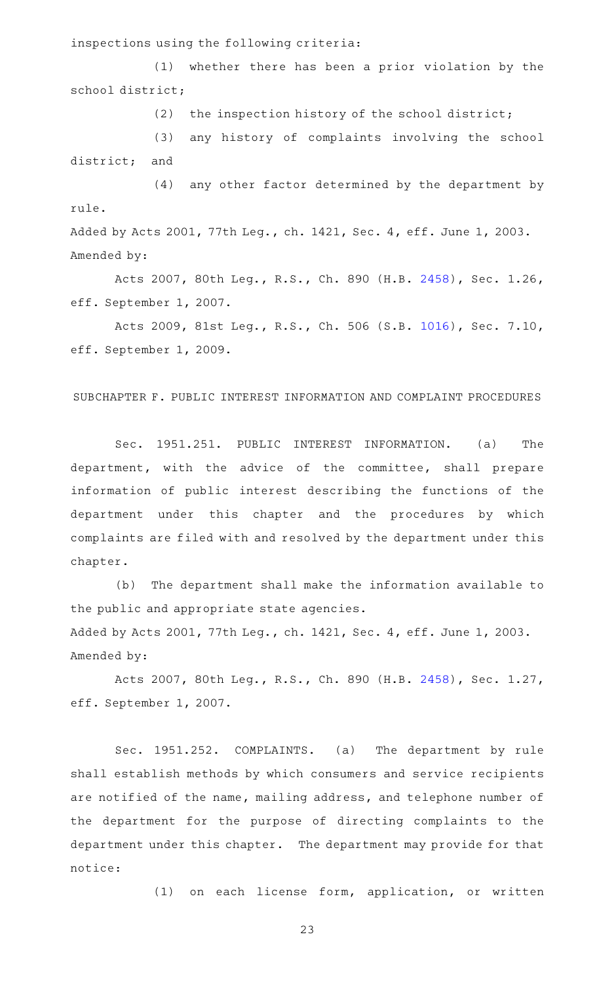inspections using the following criteria:

(1) whether there has been a prior violation by the school district;

(2) the inspection history of the school district;

(3) any history of complaints involving the school district; and

(4) any other factor determined by the department by rule. Added by Acts 2001, 77th Leg., ch. 1421, Sec. 4, eff. June 1, 2003. Amended by:

Acts 2007, 80th Leg., R.S., Ch. 890 (H.B. [2458\)](http://www.legis.state.tx.us/tlodocs/80R/billtext/html/HB02458F.HTM), Sec. 1.26, eff. September 1, 2007.

Acts 2009, 81st Leg., R.S., Ch. 506 (S.B. [1016\)](http://www.legis.state.tx.us/tlodocs/81R/billtext/html/SB01016F.HTM), Sec. 7.10, eff. September 1, 2009.

SUBCHAPTER F. PUBLIC INTEREST INFORMATION AND COMPLAINT PROCEDURES

Sec. 1951.251. PUBLIC INTEREST INFORMATION. (a) The department, with the advice of the committee, shall prepare information of public interest describing the functions of the department under this chapter and the procedures by which complaints are filed with and resolved by the department under this chapter.

(b) The department shall make the information available to the public and appropriate state agencies.

Added by Acts 2001, 77th Leg., ch. 1421, Sec. 4, eff. June 1, 2003. Amended by:

Acts 2007, 80th Leg., R.S., Ch. 890 (H.B. [2458\)](http://www.legis.state.tx.us/tlodocs/80R/billtext/html/HB02458F.HTM), Sec. 1.27, eff. September 1, 2007.

Sec. 1951.252. COMPLAINTS. (a) The department by rule shall establish methods by which consumers and service recipients are notified of the name, mailing address, and telephone number of the department for the purpose of directing complaints to the department under this chapter. The department may provide for that notice:

(1) on each license form, application, or written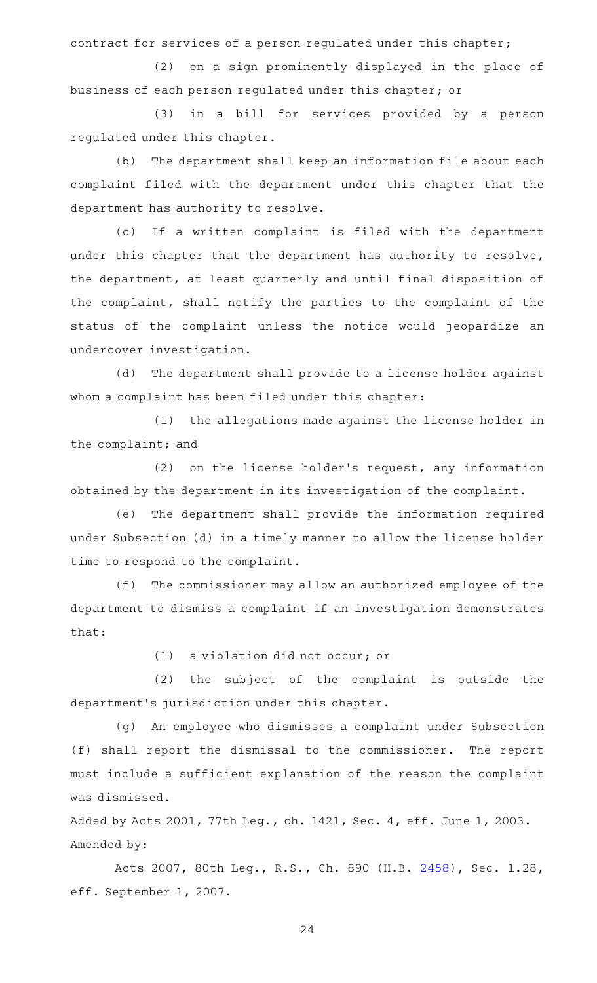contract for services of a person regulated under this chapter;

(2) on a sign prominently displayed in the place of business of each person regulated under this chapter; or

(3) in a bill for services provided by a person regulated under this chapter.

(b) The department shall keep an information file about each complaint filed with the department under this chapter that the department has authority to resolve.

(c) If a written complaint is filed with the department under this chapter that the department has authority to resolve, the department, at least quarterly and until final disposition of the complaint, shall notify the parties to the complaint of the status of the complaint unless the notice would jeopardize an undercover investigation.

(d) The department shall provide to a license holder against whom a complaint has been filed under this chapter:

(1) the allegations made against the license holder in the complaint; and

 $(2)$  on the license holder's request, any information obtained by the department in its investigation of the complaint.

(e) The department shall provide the information required under Subsection (d) in a timely manner to allow the license holder time to respond to the complaint.

(f) The commissioner may allow an authorized employee of the department to dismiss a complaint if an investigation demonstrates that:

 $(1)$  a violation did not occur; or

(2) the subject of the complaint is outside the department 's jurisdiction under this chapter.

(g) An employee who dismisses a complaint under Subsection (f) shall report the dismissal to the commissioner. The report must include a sufficient explanation of the reason the complaint was dismissed.

Added by Acts 2001, 77th Leg., ch. 1421, Sec. 4, eff. June 1, 2003. Amended by:

Acts 2007, 80th Leg., R.S., Ch. 890 (H.B. [2458\)](http://www.legis.state.tx.us/tlodocs/80R/billtext/html/HB02458F.HTM), Sec. 1.28, eff. September 1, 2007.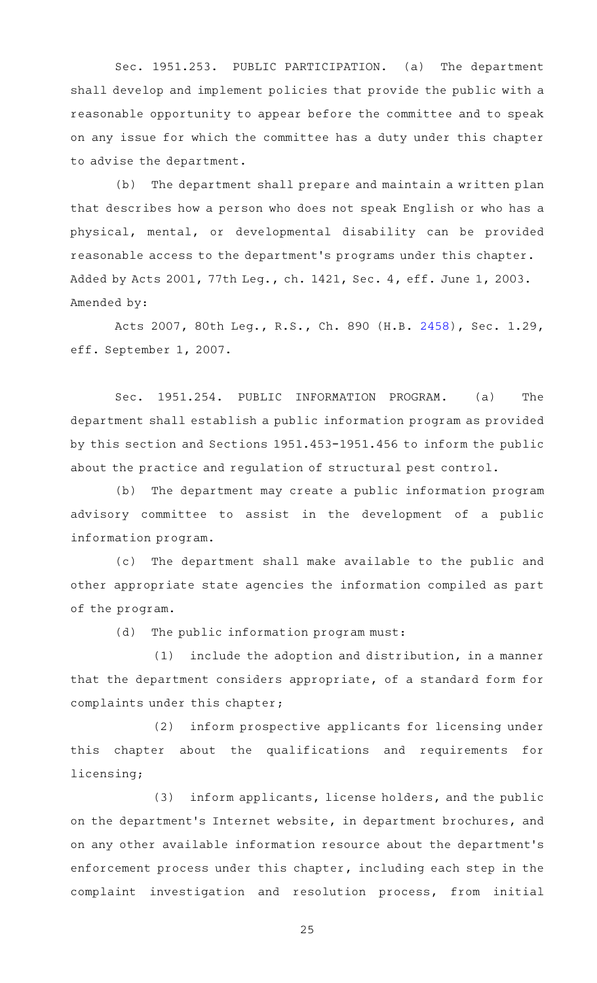Sec. 1951.253. PUBLIC PARTICIPATION. (a) The department shall develop and implement policies that provide the public with a reasonable opportunity to appear before the committee and to speak on any issue for which the committee has a duty under this chapter to advise the department.

(b) The department shall prepare and maintain a written plan that describes how a person who does not speak English or who has a physical, mental, or developmental disability can be provided reasonable access to the department 's programs under this chapter. Added by Acts 2001, 77th Leg., ch. 1421, Sec. 4, eff. June 1, 2003. Amended by:

Acts 2007, 80th Leg., R.S., Ch. 890 (H.B. [2458\)](http://www.legis.state.tx.us/tlodocs/80R/billtext/html/HB02458F.HTM), Sec. 1.29, eff. September 1, 2007.

Sec. 1951.254. PUBLIC INFORMATION PROGRAM. (a) The department shall establish a public information program as provided by this section and Sections 1951.453-1951.456 to inform the public about the practice and regulation of structural pest control.

(b) The department may create a public information program advisory committee to assist in the development of a public information program.

(c) The department shall make available to the public and other appropriate state agencies the information compiled as part of the program.

(d) The public information program must:

 $(1)$  include the adoption and distribution, in a manner that the department considers appropriate, of a standard form for complaints under this chapter;

(2) inform prospective applicants for licensing under this chapter about the qualifications and requirements for licensing;

(3) inform applicants, license holders, and the public on the department 's Internet website, in department brochures, and on any other available information resource about the department 's enforcement process under this chapter, including each step in the complaint investigation and resolution process, from initial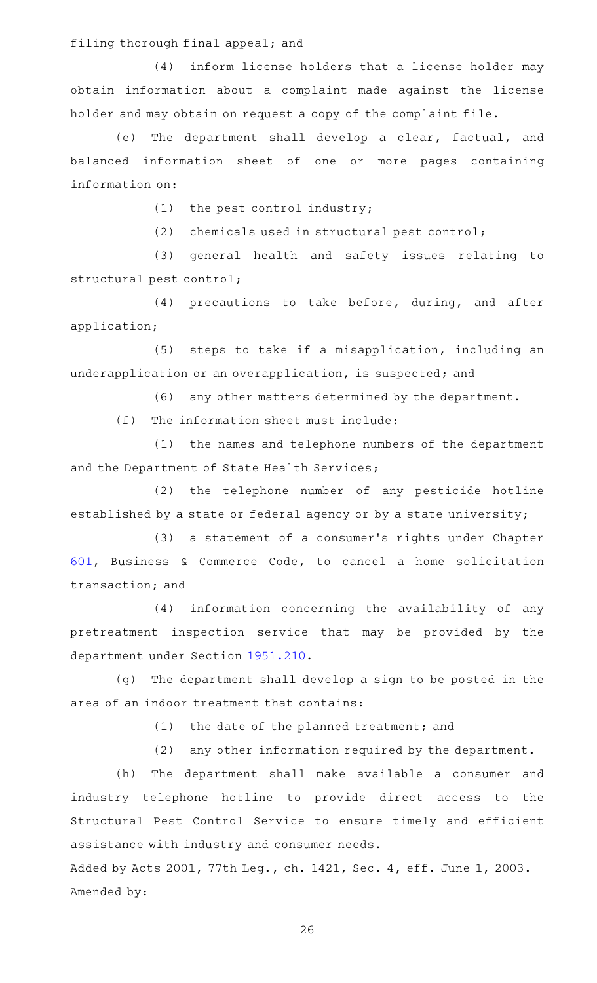filing thorough final appeal; and

(4) inform license holders that a license holder may obtain information about a complaint made against the license holder and may obtain on request a copy of the complaint file.

(e) The department shall develop a clear, factual, and balanced information sheet of one or more pages containing information on:

 $(1)$  the pest control industry;

(2) chemicals used in structural pest control;

(3) general health and safety issues relating to structural pest control;

(4) precautions to take before, during, and after application;

(5) steps to take if a misapplication, including an underapplication or an overapplication, is suspected; and

(6) any other matters determined by the department.

 $(f)$  The information sheet must include:

(1) the names and telephone numbers of the department and the Department of State Health Services;

(2) the telephone number of any pesticide hotline established by a state or federal agency or by a state university;

(3) a statement of a consumer's rights under Chapter [601,](http://www.statutes.legis.state.tx.us/GetStatute.aspx?Code=BC&Value=601) Business & Commerce Code, to cancel a home solicitation transaction; and

(4) information concerning the availability of any pretreatment inspection service that may be provided by the department under Section [1951.210.](http://www.statutes.legis.state.tx.us/GetStatute.aspx?Code=OC&Value=1951.210)

(g) The department shall develop a sign to be posted in the area of an indoor treatment that contains:

(1) the date of the planned treatment; and

(2) any other information required by the department.

(h) The department shall make available a consumer and industry telephone hotline to provide direct access to the Structural Pest Control Service to ensure timely and efficient assistance with industry and consumer needs.

Added by Acts 2001, 77th Leg., ch. 1421, Sec. 4, eff. June 1, 2003. Amended by: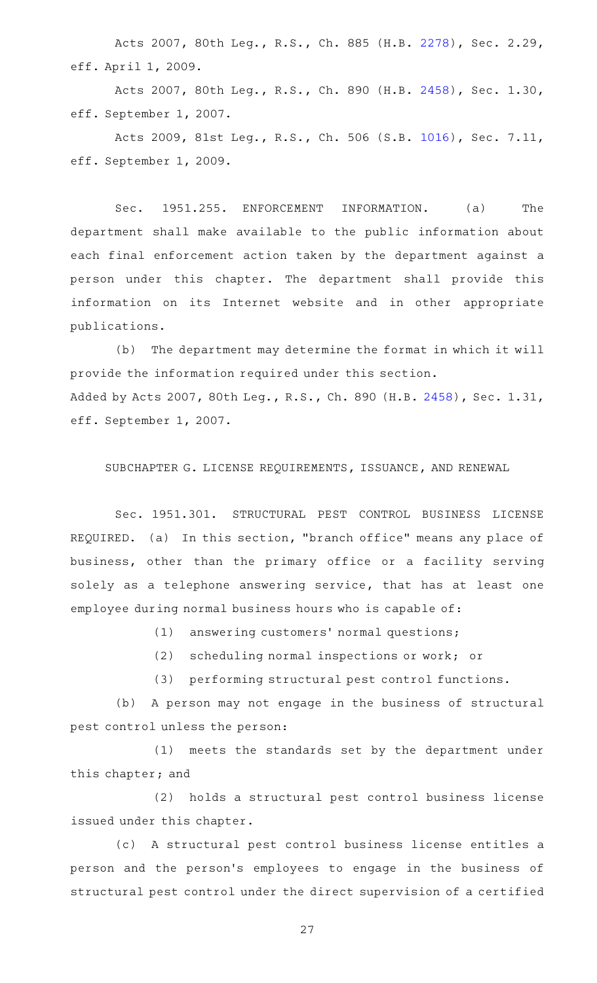Acts 2007, 80th Leg., R.S., Ch. 885 (H.B. [2278\)](http://www.legis.state.tx.us/tlodocs/80R/billtext/html/HB02278F.HTM), Sec. 2.29, eff. April 1, 2009.

Acts 2007, 80th Leg., R.S., Ch. 890 (H.B. [2458\)](http://www.legis.state.tx.us/tlodocs/80R/billtext/html/HB02458F.HTM), Sec. 1.30, eff. September 1, 2007.

Acts 2009, 81st Leg., R.S., Ch. 506 (S.B. [1016\)](http://www.legis.state.tx.us/tlodocs/81R/billtext/html/SB01016F.HTM), Sec. 7.11, eff. September 1, 2009.

Sec. 1951.255. ENFORCEMENT INFORMATION. (a) The department shall make available to the public information about each final enforcement action taken by the department against a person under this chapter. The department shall provide this information on its Internet website and in other appropriate publications.

(b) The department may determine the format in which it will provide the information required under this section. Added by Acts 2007, 80th Leg., R.S., Ch. 890 (H.B. [2458](http://www.legis.state.tx.us/tlodocs/80R/billtext/html/HB02458F.HTM)), Sec. 1.31, eff. September 1, 2007.

SUBCHAPTER G. LICENSE REQUIREMENTS, ISSUANCE, AND RENEWAL

Sec. 1951.301. STRUCTURAL PEST CONTROL BUSINESS LICENSE REQUIRED. (a) In this section, "branch office" means any place of business, other than the primary office or a facility serving solely as a telephone answering service, that has at least one employee during normal business hours who is capable of:

(1) answering customers' normal questions;

 $(2)$  scheduling normal inspections or work; or

(3) performing structural pest control functions.

(b) A person may not engage in the business of structural pest control unless the person:

(1) meets the standards set by the department under this chapter; and

(2) holds a structural pest control business license issued under this chapter.

(c)AAA structural pest control business license entitles a person and the person 's employees to engage in the business of structural pest control under the direct supervision of a certified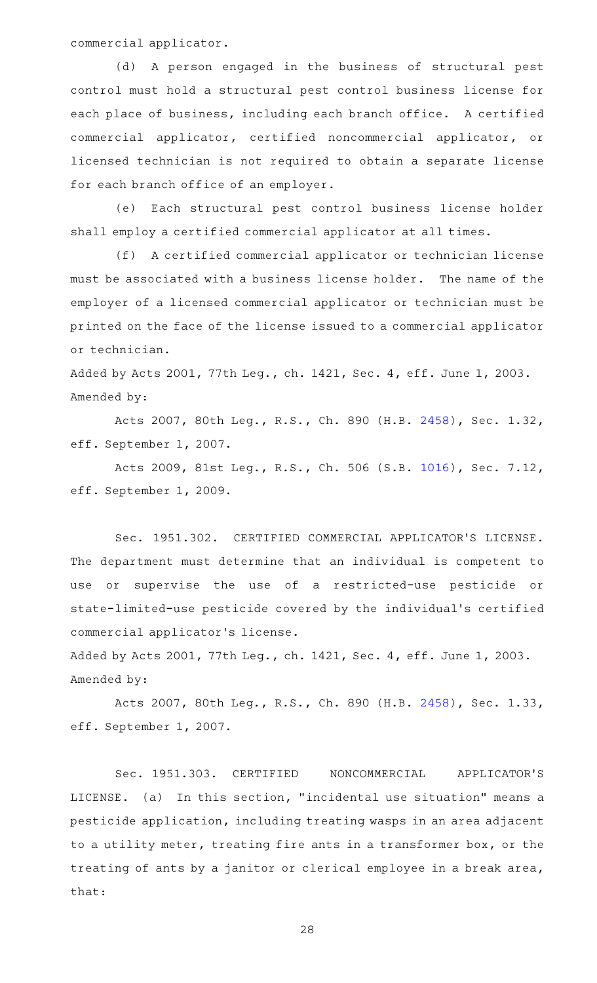commercial applicator.

(d) A person engaged in the business of structural pest control must hold a structural pest control business license for each place of business, including each branch office. A certified commercial applicator, certified noncommercial applicator, or licensed technician is not required to obtain a separate license for each branch office of an employer.

(e) Each structural pest control business license holder shall employ a certified commercial applicator at all times.

(f) A certified commercial applicator or technician license must be associated with a business license holder. The name of the employer of a licensed commercial applicator or technician must be printed on the face of the license issued to a commercial applicator or technician.

Added by Acts 2001, 77th Leg., ch. 1421, Sec. 4, eff. June 1, 2003. Amended by:

Acts 2007, 80th Leg., R.S., Ch. 890 (H.B. [2458\)](http://www.legis.state.tx.us/tlodocs/80R/billtext/html/HB02458F.HTM), Sec. 1.32, eff. September 1, 2007.

Acts 2009, 81st Leg., R.S., Ch. 506 (S.B. [1016\)](http://www.legis.state.tx.us/tlodocs/81R/billtext/html/SB01016F.HTM), Sec. 7.12, eff. September 1, 2009.

Sec. 1951.302. CERTIFIED COMMERCIAL APPLICATOR'S LICENSE. The department must determine that an individual is competent to use or supervise the use of a restricted-use pesticide or state-limited-use pesticide covered by the individual 's certified commercial applicator 's license.

Added by Acts 2001, 77th Leg., ch. 1421, Sec. 4, eff. June 1, 2003. Amended by:

Acts 2007, 80th Leg., R.S., Ch. 890 (H.B. [2458\)](http://www.legis.state.tx.us/tlodocs/80R/billtext/html/HB02458F.HTM), Sec. 1.33, eff. September 1, 2007.

Sec. 1951.303. CERTIFIED NONCOMMERCIAL APPLICATOR'S LICENSE. (a) In this section, "incidental use situation" means a pesticide application, including treating wasps in an area adjacent to a utility meter, treating fire ants in a transformer box, or the treating of ants by a janitor or clerical employee in a break area, that: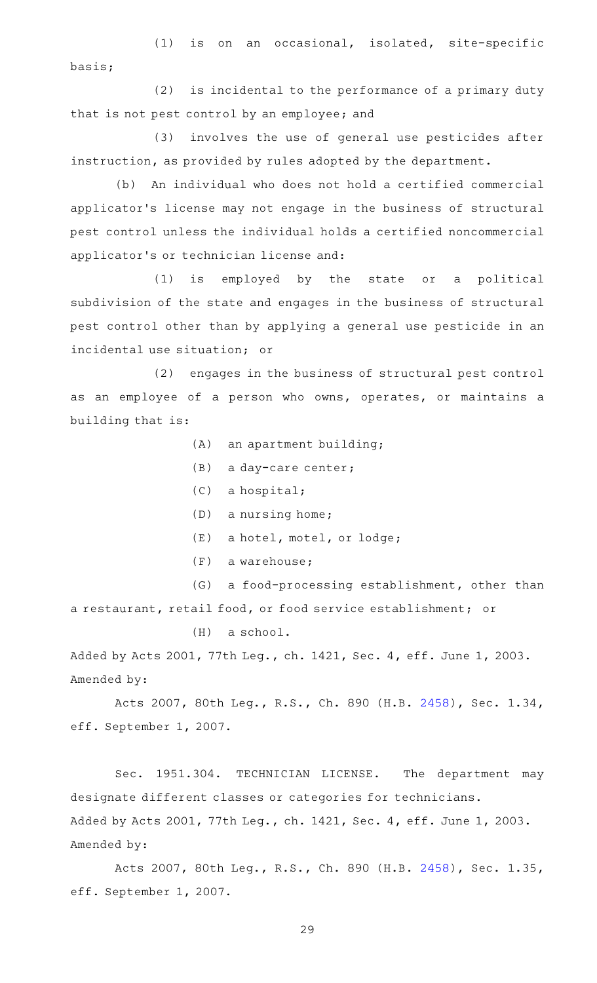$(1)$  is on an occasional, isolated, site-specific basis;

(2) is incidental to the performance of a primary duty that is not pest control by an employee; and

(3) involves the use of general use pesticides after instruction, as provided by rules adopted by the department.

(b) An individual who does not hold a certified commercial applicator 's license may not engage in the business of structural pest control unless the individual holds a certified noncommercial applicator 's or technician license and:

(1) is employed by the state or a political subdivision of the state and engages in the business of structural pest control other than by applying a general use pesticide in an incidental use situation; or

(2) engages in the business of structural pest control as an employee of a person who owns, operates, or maintains a building that is:

- $(A)$  an apartment building;
- $(B)$  a day-care center;
- $(C)$  a hospital;
- $(D)$  a nursing home;
- (E) a hotel, motel, or lodge;
- $(F)$  a warehouse;

(G) a food-processing establishment, other than a restaurant, retail food, or food service establishment; or

 $(H)$  a school.

Added by Acts 2001, 77th Leg., ch. 1421, Sec. 4, eff. June 1, 2003. Amended by:

Acts 2007, 80th Leg., R.S., Ch. 890 (H.B. [2458\)](http://www.legis.state.tx.us/tlodocs/80R/billtext/html/HB02458F.HTM), Sec. 1.34, eff. September 1, 2007.

Sec. 1951.304. TECHNICIAN LICENSE. The department may designate different classes or categories for technicians. Added by Acts 2001, 77th Leg., ch. 1421, Sec. 4, eff. June 1, 2003. Amended by:

Acts 2007, 80th Leg., R.S., Ch. 890 (H.B. [2458\)](http://www.legis.state.tx.us/tlodocs/80R/billtext/html/HB02458F.HTM), Sec. 1.35, eff. September 1, 2007.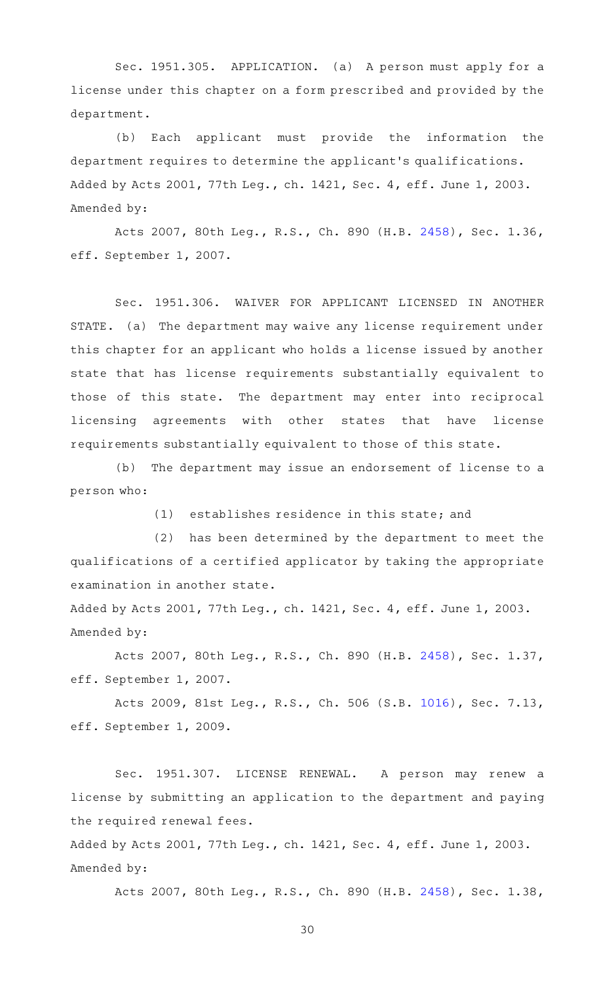Sec. 1951.305. APPLICATION. (a) A person must apply for a license under this chapter on a form prescribed and provided by the department.

 $(b)$  Each applicant must provide the information the department requires to determine the applicant 's qualifications. Added by Acts 2001, 77th Leg., ch. 1421, Sec. 4, eff. June 1, 2003. Amended by:

Acts 2007, 80th Leg., R.S., Ch. 890 (H.B. [2458\)](http://www.legis.state.tx.us/tlodocs/80R/billtext/html/HB02458F.HTM), Sec. 1.36, eff. September 1, 2007.

Sec. 1951.306. WAIVER FOR APPLICANT LICENSED IN ANOTHER STATE. (a) The department may waive any license requirement under this chapter for an applicant who holds a license issued by another state that has license requirements substantially equivalent to those of this state. The department may enter into reciprocal licensing agreements with other states that have license requirements substantially equivalent to those of this state.

(b) The department may issue an endorsement of license to a person who:

(1) establishes residence in this state; and

(2) has been determined by the department to meet the qualifications of a certified applicator by taking the appropriate examination in another state.

Added by Acts 2001, 77th Leg., ch. 1421, Sec. 4, eff. June 1, 2003. Amended by:

Acts 2007, 80th Leg., R.S., Ch. 890 (H.B. [2458\)](http://www.legis.state.tx.us/tlodocs/80R/billtext/html/HB02458F.HTM), Sec. 1.37, eff. September 1, 2007.

Acts 2009, 81st Leg., R.S., Ch. 506 (S.B. [1016\)](http://www.legis.state.tx.us/tlodocs/81R/billtext/html/SB01016F.HTM), Sec. 7.13, eff. September 1, 2009.

Sec. 1951.307. LICENSE RENEWAL. A person may renew a license by submitting an application to the department and paying the required renewal fees.

Added by Acts 2001, 77th Leg., ch. 1421, Sec. 4, eff. June 1, 2003. Amended by:

Acts 2007, 80th Leg., R.S., Ch. 890 (H.B. [2458\)](http://www.legis.state.tx.us/tlodocs/80R/billtext/html/HB02458F.HTM), Sec. 1.38,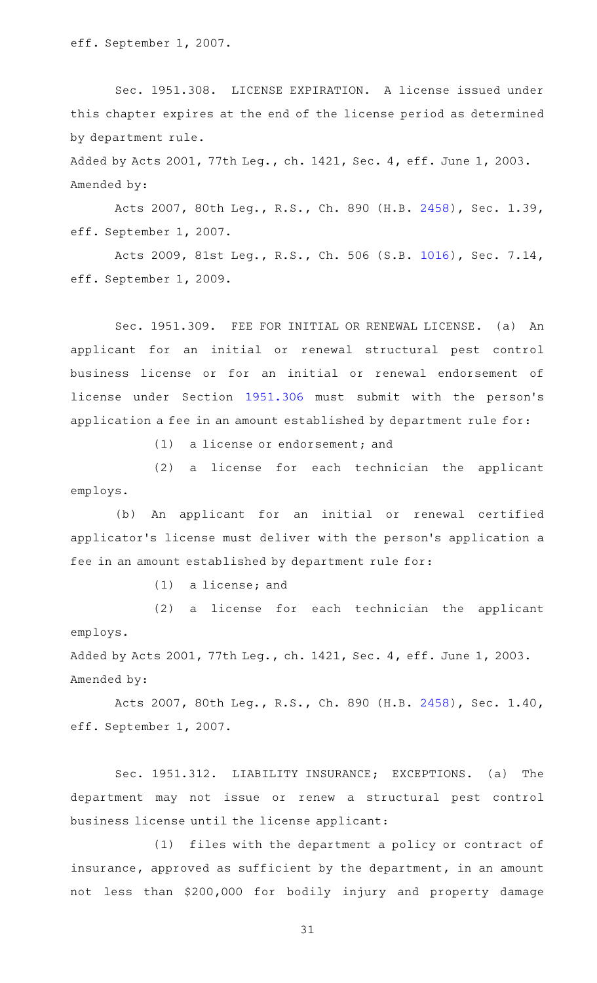eff. September 1, 2007.

Sec. 1951.308. LICENSE EXPIRATION. A license issued under this chapter expires at the end of the license period as determined by department rule.

Added by Acts 2001, 77th Leg., ch. 1421, Sec. 4, eff. June 1, 2003. Amended by:

Acts 2007, 80th Leg., R.S., Ch. 890 (H.B. [2458\)](http://www.legis.state.tx.us/tlodocs/80R/billtext/html/HB02458F.HTM), Sec. 1.39, eff. September 1, 2007.

Acts 2009, 81st Leg., R.S., Ch. 506 (S.B. [1016\)](http://www.legis.state.tx.us/tlodocs/81R/billtext/html/SB01016F.HTM), Sec. 7.14, eff. September 1, 2009.

Sec. 1951.309. FEE FOR INITIAL OR RENEWAL LICENSE. (a) An applicant for an initial or renewal structural pest control business license or for an initial or renewal endorsement of license under Section [1951.306](http://www.statutes.legis.state.tx.us/GetStatute.aspx?Code=OC&Value=1951.306) must submit with the person's application a fee in an amount established by department rule for:

 $(1)$  a license or endorsement; and

(2) a license for each technician the applicant employs.

(b) An applicant for an initial or renewal certified applicator 's license must deliver with the person 's application a fee in an amount established by department rule for:

 $(1)$  a license; and

(2) a license for each technician the applicant employs.

Added by Acts 2001, 77th Leg., ch. 1421, Sec. 4, eff. June 1, 2003. Amended by:

Acts 2007, 80th Leg., R.S., Ch. 890 (H.B. [2458\)](http://www.legis.state.tx.us/tlodocs/80R/billtext/html/HB02458F.HTM), Sec. 1.40, eff. September 1, 2007.

Sec. 1951.312. LIABILITY INSURANCE; EXCEPTIONS. (a) The department may not issue or renew a structural pest control business license until the license applicant:

(1) files with the department a policy or contract of insurance, approved as sufficient by the department, in an amount not less than \$200,000 for bodily injury and property damage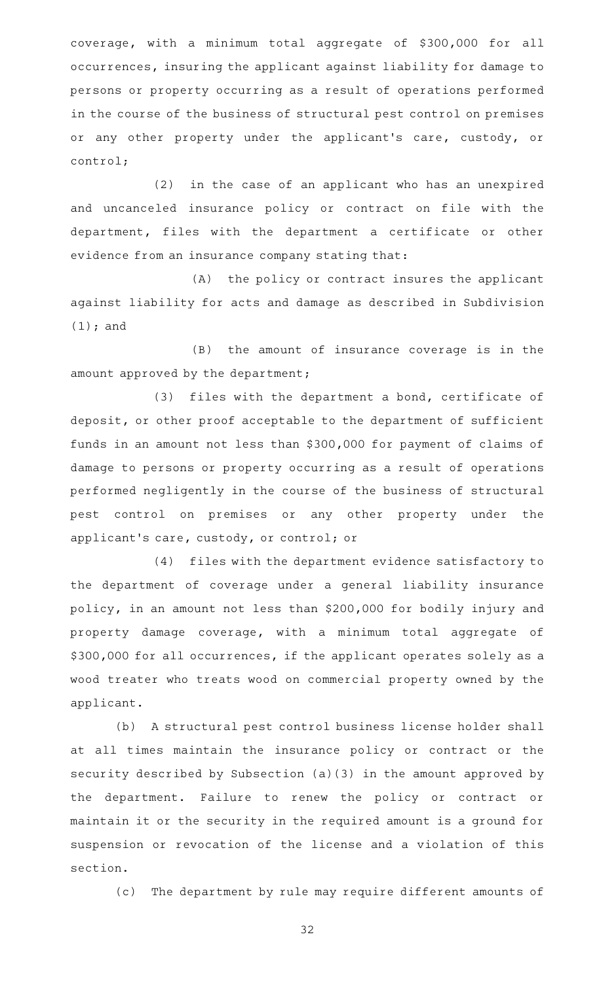coverage, with a minimum total aggregate of \$300,000 for all occurrences, insuring the applicant against liability for damage to persons or property occurring as a result of operations performed in the course of the business of structural pest control on premises or any other property under the applicant 's care, custody, or control;

 $(2)$  in the case of an applicant who has an unexpired and uncanceled insurance policy or contract on file with the department, files with the department a certificate or other evidence from an insurance company stating that:

(A) the policy or contract insures the applicant against liability for acts and damage as described in Subdivision (1); and

(B) the amount of insurance coverage is in the amount approved by the department;

(3) files with the department a bond, certificate of deposit, or other proof acceptable to the department of sufficient funds in an amount not less than \$300,000 for payment of claims of damage to persons or property occurring as a result of operations performed negligently in the course of the business of structural pest control on premises or any other property under the applicant 's care, custody, or control; or

(4) files with the department evidence satisfactory to the department of coverage under a general liability insurance policy, in an amount not less than \$200,000 for bodily injury and property damage coverage, with a minimum total aggregate of \$300,000 for all occurrences, if the applicant operates solely as a wood treater who treats wood on commercial property owned by the applicant.

(b) A structural pest control business license holder shall at all times maintain the insurance policy or contract or the security described by Subsection (a)(3) in the amount approved by the department. Failure to renew the policy or contract or maintain it or the security in the required amount is a ground for suspension or revocation of the license and a violation of this section.

(c) The department by rule may require different amounts of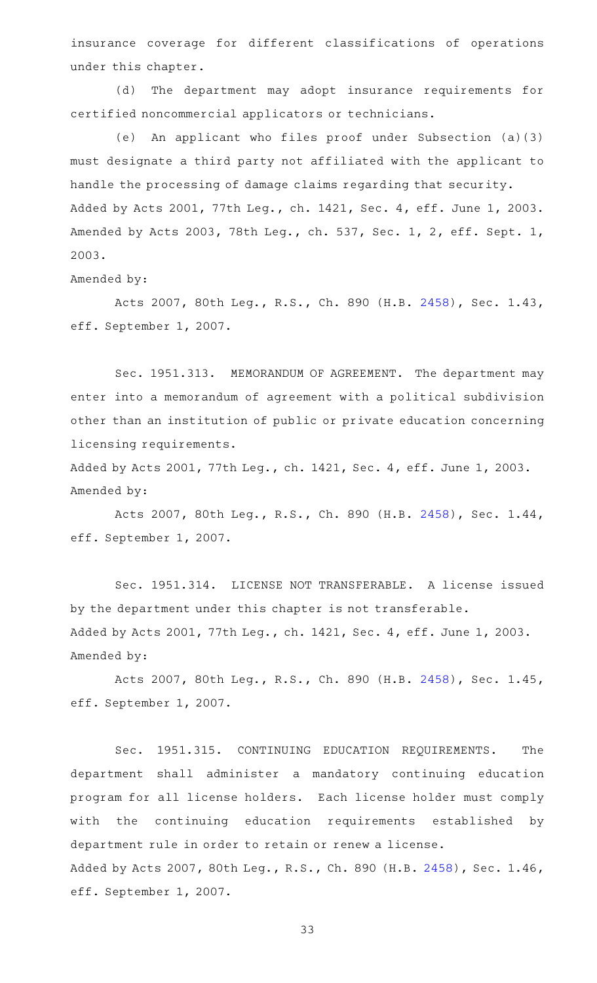insurance coverage for different classifications of operations under this chapter.

(d) The department may adopt insurance requirements for certified noncommercial applicators or technicians.

(e) An applicant who files proof under Subsection (a)(3) must designate a third party not affiliated with the applicant to handle the processing of damage claims regarding that security. Added by Acts 2001, 77th Leg., ch. 1421, Sec. 4, eff. June 1, 2003. Amended by Acts 2003, 78th Leg., ch. 537, Sec. 1, 2, eff. Sept. 1, 2003.

Amended by:

Acts 2007, 80th Leg., R.S., Ch. 890 (H.B. [2458\)](http://www.legis.state.tx.us/tlodocs/80R/billtext/html/HB02458F.HTM), Sec. 1.43, eff. September 1, 2007.

Sec. 1951.313. MEMORANDUM OF AGREEMENT. The department may enter into a memorandum of agreement with a political subdivision other than an institution of public or private education concerning licensing requirements.

Added by Acts 2001, 77th Leg., ch. 1421, Sec. 4, eff. June 1, 2003. Amended by:

Acts 2007, 80th Leg., R.S., Ch. 890 (H.B. [2458\)](http://www.legis.state.tx.us/tlodocs/80R/billtext/html/HB02458F.HTM), Sec. 1.44, eff. September 1, 2007.

Sec. 1951.314. LICENSE NOT TRANSFERABLE. A license issued by the department under this chapter is not transferable. Added by Acts 2001, 77th Leg., ch. 1421, Sec. 4, eff. June 1, 2003. Amended by:

Acts 2007, 80th Leg., R.S., Ch. 890 (H.B. [2458\)](http://www.legis.state.tx.us/tlodocs/80R/billtext/html/HB02458F.HTM), Sec. 1.45, eff. September 1, 2007.

Sec. 1951.315. CONTINUING EDUCATION REQUIREMENTS. The department shall administer a mandatory continuing education program for all license holders. Each license holder must comply with the continuing education requirements established by department rule in order to retain or renew a license. Added by Acts 2007, 80th Leg., R.S., Ch. 890 (H.B. [2458](http://www.legis.state.tx.us/tlodocs/80R/billtext/html/HB02458F.HTM)), Sec. 1.46, eff. September 1, 2007.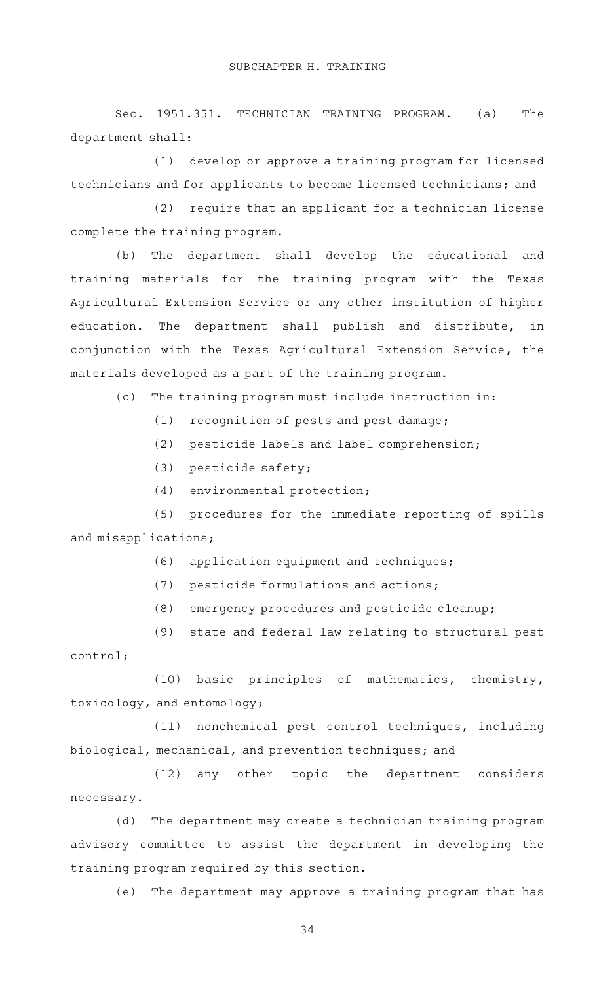Sec. 1951.351. TECHNICIAN TRAINING PROGRAM. (a) The department shall:

(1) develop or approve a training program for licensed technicians and for applicants to become licensed technicians; and

(2) require that an applicant for a technician license complete the training program.

(b) The department shall develop the educational and training materials for the training program with the Texas Agricultural Extension Service or any other institution of higher education. The department shall publish and distribute, in conjunction with the Texas Agricultural Extension Service, the materials developed as a part of the training program.

(c) The training program must include instruction in:

- $(1)$  recognition of pests and pest damage;
- (2) pesticide labels and label comprehension;
- $(3)$  pesticide safety;
- $(4)$  environmental protection;

(5) procedures for the immediate reporting of spills and misapplications;

(6) application equipment and techniques;

- (7) pesticide formulations and actions;
- (8) emergency procedures and pesticide cleanup;

(9) state and federal law relating to structural pest control;

(10) basic principles of mathematics, chemistry, toxicology, and entomology;

(11) nonchemical pest control techniques, including biological, mechanical, and prevention techniques; and

(12) any other topic the department considers necessary.

(d) The department may create a technician training program advisory committee to assist the department in developing the training program required by this section.

(e) The department may approve a training program that has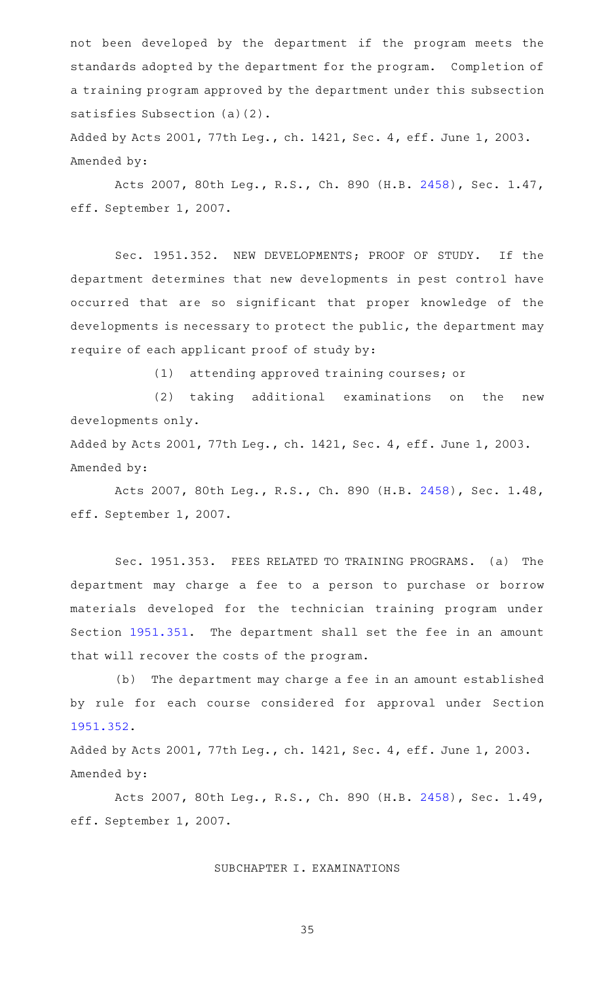not been developed by the department if the program meets the standards adopted by the department for the program. Completion of a training program approved by the department under this subsection satisfies Subsection (a)(2).

Added by Acts 2001, 77th Leg., ch. 1421, Sec. 4, eff. June 1, 2003. Amended by:

Acts 2007, 80th Leg., R.S., Ch. 890 (H.B. [2458\)](http://www.legis.state.tx.us/tlodocs/80R/billtext/html/HB02458F.HTM), Sec. 1.47, eff. September 1, 2007.

Sec. 1951.352. NEW DEVELOPMENTS; PROOF OF STUDY. If the department determines that new developments in pest control have occurred that are so significant that proper knowledge of the developments is necessary to protect the public, the department may require of each applicant proof of study by:

(1) attending approved training courses; or

(2) taking additional examinations on the new developments only.

Added by Acts 2001, 77th Leg., ch. 1421, Sec. 4, eff. June 1, 2003. Amended by:

Acts 2007, 80th Leg., R.S., Ch. 890 (H.B. [2458\)](http://www.legis.state.tx.us/tlodocs/80R/billtext/html/HB02458F.HTM), Sec. 1.48, eff. September 1, 2007.

Sec. 1951.353. FEES RELATED TO TRAINING PROGRAMS. (a) The department may charge a fee to a person to purchase or borrow materials developed for the technician training program under Section [1951.351](http://www.statutes.legis.state.tx.us/GetStatute.aspx?Code=OC&Value=1951.351). The department shall set the fee in an amount that will recover the costs of the program.

(b) The department may charge a fee in an amount established by rule for each course considered for approval under Section [1951.352](http://www.statutes.legis.state.tx.us/GetStatute.aspx?Code=OC&Value=1951.352).

Added by Acts 2001, 77th Leg., ch. 1421, Sec. 4, eff. June 1, 2003. Amended by:

Acts 2007, 80th Leg., R.S., Ch. 890 (H.B. [2458\)](http://www.legis.state.tx.us/tlodocs/80R/billtext/html/HB02458F.HTM), Sec. 1.49, eff. September 1, 2007.

#### SUBCHAPTER I. EXAMINATIONS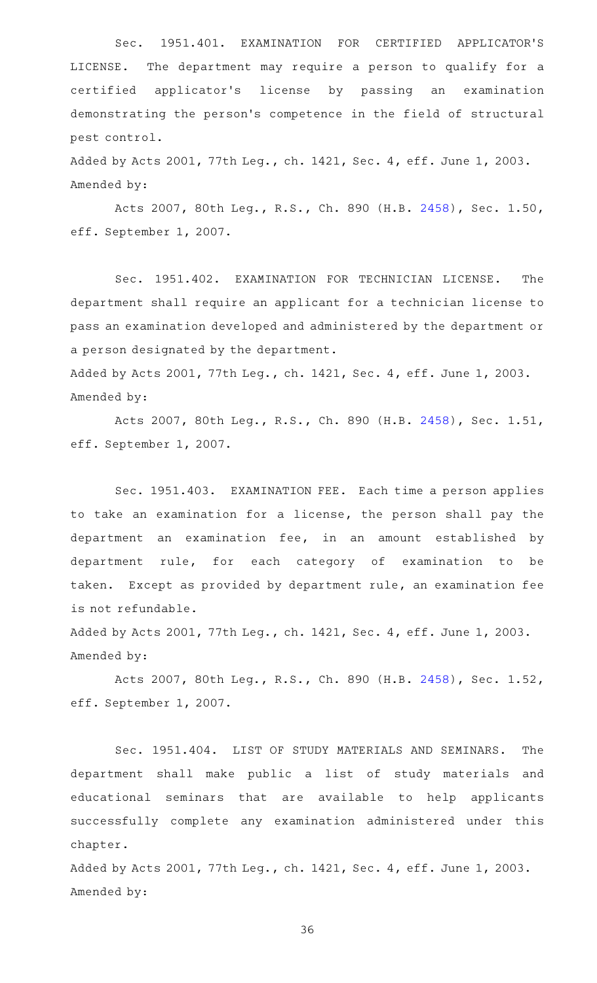Sec. 1951.401. EXAMINATION FOR CERTIFIED APPLICATOR'S LICENSE. The department may require a person to qualify for a certified applicator 's license by passing an examination demonstrating the person 's competence in the field of structural pest control.

Added by Acts 2001, 77th Leg., ch. 1421, Sec. 4, eff. June 1, 2003. Amended by:

Acts 2007, 80th Leg., R.S., Ch. 890 (H.B. [2458\)](http://www.legis.state.tx.us/tlodocs/80R/billtext/html/HB02458F.HTM), Sec. 1.50, eff. September 1, 2007.

Sec. 1951.402. EXAMINATION FOR TECHNICIAN LICENSE. The department shall require an applicant for a technician license to pass an examination developed and administered by the department or a person designated by the department.

Added by Acts 2001, 77th Leg., ch. 1421, Sec. 4, eff. June 1, 2003. Amended by:

Acts 2007, 80th Leg., R.S., Ch. 890 (H.B. [2458\)](http://www.legis.state.tx.us/tlodocs/80R/billtext/html/HB02458F.HTM), Sec. 1.51, eff. September 1, 2007.

Sec. 1951.403. EXAMINATION FEE. Each time a person applies to take an examination for a license, the person shall pay the department an examination fee, in an amount established by department rule, for each category of examination to be taken. Except as provided by department rule, an examination fee is not refundable.

Added by Acts 2001, 77th Leg., ch. 1421, Sec. 4, eff. June 1, 2003. Amended by:

Acts 2007, 80th Leg., R.S., Ch. 890 (H.B. [2458\)](http://www.legis.state.tx.us/tlodocs/80R/billtext/html/HB02458F.HTM), Sec. 1.52, eff. September 1, 2007.

Sec. 1951.404. LIST OF STUDY MATERIALS AND SEMINARS. The department shall make public a list of study materials and educational seminars that are available to help applicants successfully complete any examination administered under this chapter.

Added by Acts 2001, 77th Leg., ch. 1421, Sec. 4, eff. June 1, 2003. Amended by: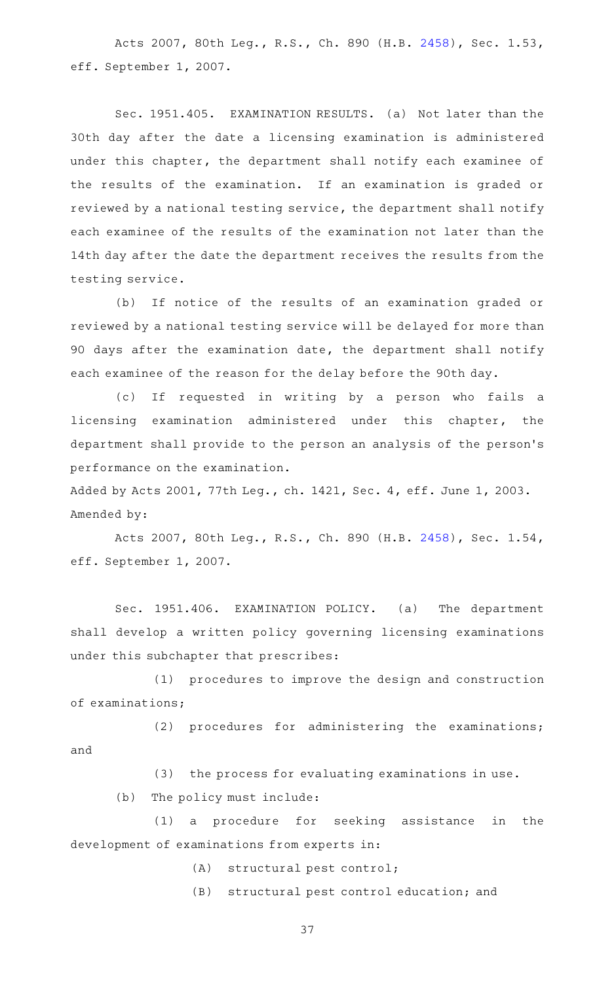Acts 2007, 80th Leg., R.S., Ch. 890 (H.B. [2458\)](http://www.legis.state.tx.us/tlodocs/80R/billtext/html/HB02458F.HTM), Sec. 1.53, eff. September 1, 2007.

Sec. 1951.405. EXAMINATION RESULTS. (a) Not later than the 30th day after the date a licensing examination is administered under this chapter, the department shall notify each examinee of the results of the examination. If an examination is graded or reviewed by a national testing service, the department shall notify each examinee of the results of the examination not later than the 14th day after the date the department receives the results from the testing service.

(b) If notice of the results of an examination graded or reviewed by a national testing service will be delayed for more than 90 days after the examination date, the department shall notify each examinee of the reason for the delay before the 90th day.

(c) If requested in writing by a person who fails a licensing examination administered under this chapter, the department shall provide to the person an analysis of the person 's performance on the examination.

Added by Acts 2001, 77th Leg., ch. 1421, Sec. 4, eff. June 1, 2003. Amended by:

Acts 2007, 80th Leg., R.S., Ch. 890 (H.B. [2458\)](http://www.legis.state.tx.us/tlodocs/80R/billtext/html/HB02458F.HTM), Sec. 1.54, eff. September 1, 2007.

Sec. 1951.406. EXAMINATION POLICY. (a) The department shall develop a written policy governing licensing examinations under this subchapter that prescribes:

(1) procedures to improve the design and construction of examinations;

(2) procedures for administering the examinations; and

(3) the process for evaluating examinations in use.

 $(b)$  The policy must include:

(1) a procedure for seeking assistance in the development of examinations from experts in:

(A) structural pest control;

(B) structural pest control education; and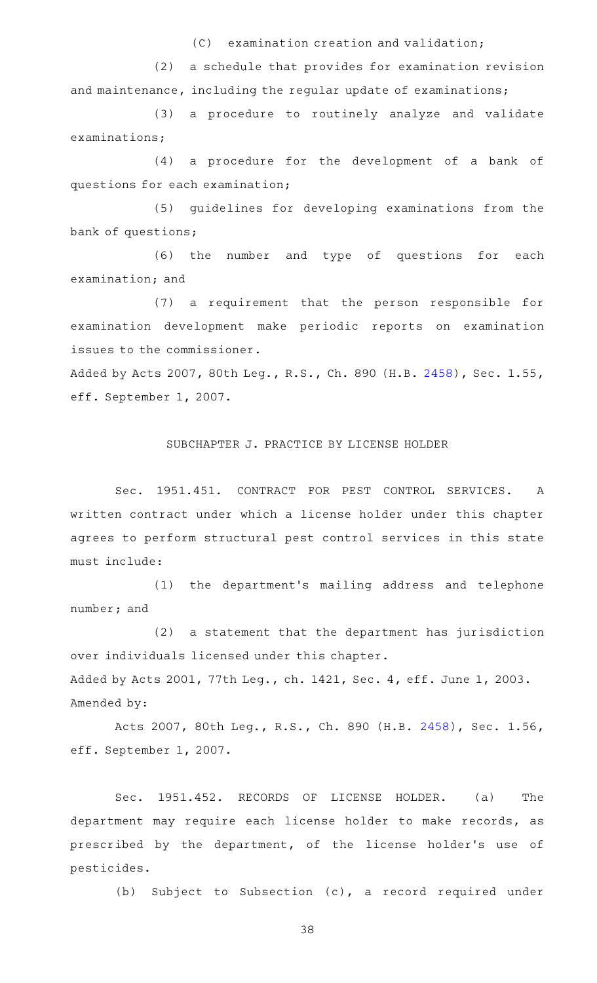$(C)$  examination creation and validation;

(2) a schedule that provides for examination revision and maintenance, including the regular update of examinations;

(3) a procedure to routinely analyze and validate examinations;

(4) a procedure for the development of a bank of questions for each examination;

(5) guidelines for developing examinations from the bank of questions;

 $(6)$  the number and type of questions for each examination; and

(7) a requirement that the person responsible for examination development make periodic reports on examination issues to the commissioner.

Added by Acts 2007, 80th Leg., R.S., Ch. 890 (H.B. [2458](http://www.legis.state.tx.us/tlodocs/80R/billtext/html/HB02458F.HTM)), Sec. 1.55, eff. September 1, 2007.

# SUBCHAPTER J. PRACTICE BY LICENSE HOLDER

Sec. 1951.451. CONTRACT FOR PEST CONTROL SERVICES. A written contract under which a license holder under this chapter agrees to perform structural pest control services in this state must include:

(1) the department's mailing address and telephone number; and

(2) a statement that the department has jurisdiction over individuals licensed under this chapter. Added by Acts 2001, 77th Leg., ch. 1421, Sec. 4, eff. June 1, 2003. Amended by:

Acts 2007, 80th Leg., R.S., Ch. 890 (H.B. [2458\)](http://www.legis.state.tx.us/tlodocs/80R/billtext/html/HB02458F.HTM), Sec. 1.56, eff. September 1, 2007.

Sec. 1951.452. RECORDS OF LICENSE HOLDER. (a) The department may require each license holder to make records, as prescribed by the department, of the license holder 's use of pesticides.

(b) Subject to Subsection (c), a record required under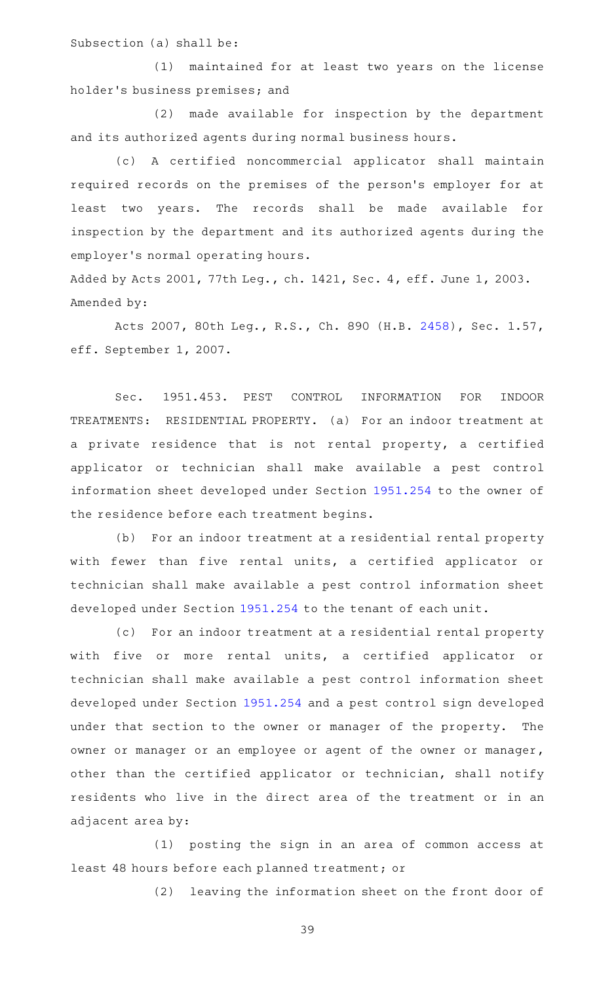Subsection (a) shall be:

(1) maintained for at least two years on the license holder 's business premises; and

(2) made available for inspection by the department and its authorized agents during normal business hours.

(c)AAA certified noncommercial applicator shall maintain required records on the premises of the person's employer for at least two years. The records shall be made available for inspection by the department and its authorized agents during the employer 's normal operating hours.

Added by Acts 2001, 77th Leg., ch. 1421, Sec. 4, eff. June 1, 2003. Amended by:

Acts 2007, 80th Leg., R.S., Ch. 890 (H.B. [2458\)](http://www.legis.state.tx.us/tlodocs/80R/billtext/html/HB02458F.HTM), Sec. 1.57, eff. September 1, 2007.

Sec. 1951.453. PEST CONTROL INFORMATION FOR INDOOR TREATMENTS: RESIDENTIAL PROPERTY. (a) For an indoor treatment at a private residence that is not rental property, a certified applicator or technician shall make available a pest control information sheet developed under Section [1951.254](http://www.statutes.legis.state.tx.us/GetStatute.aspx?Code=OC&Value=1951.254) to the owner of the residence before each treatment begins.

(b) For an indoor treatment at a residential rental property with fewer than five rental units, a certified applicator or technician shall make available a pest control information sheet developed under Section [1951.254](http://www.statutes.legis.state.tx.us/GetStatute.aspx?Code=OC&Value=1951.254) to the tenant of each unit.

(c) For an indoor treatment at a residential rental property with five or more rental units, a certified applicator or technician shall make available a pest control information sheet developed under Section [1951.254](http://www.statutes.legis.state.tx.us/GetStatute.aspx?Code=OC&Value=1951.254) and a pest control sign developed under that section to the owner or manager of the property. The owner or manager or an employee or agent of the owner or manager, other than the certified applicator or technician, shall notify residents who live in the direct area of the treatment or in an adjacent area by:

 $(1)$  posting the sign in an area of common access at least 48 hours before each planned treatment; or

(2) leaving the information sheet on the front door of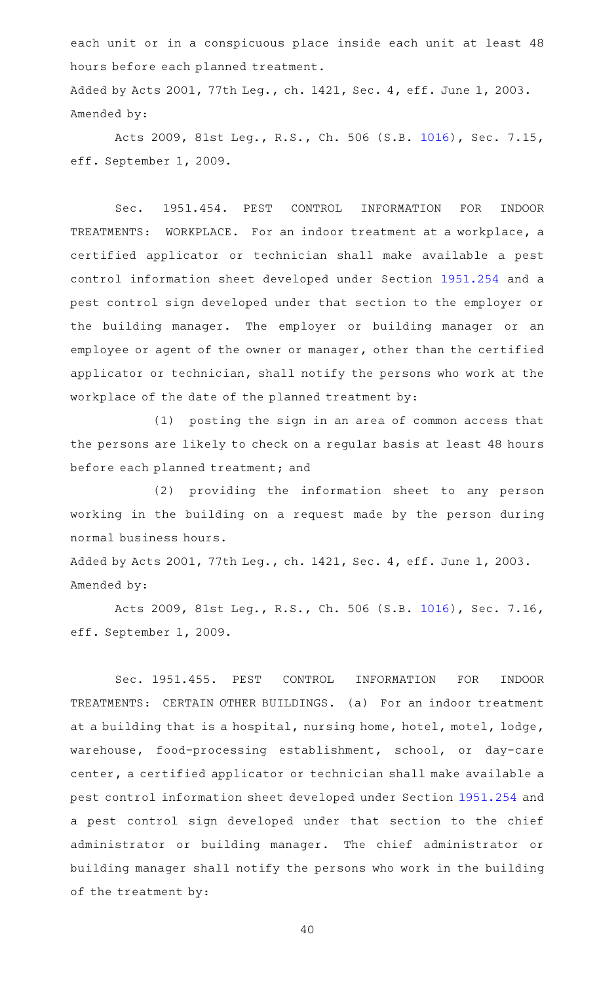each unit or in a conspicuous place inside each unit at least 48 hours before each planned treatment.

Added by Acts 2001, 77th Leg., ch. 1421, Sec. 4, eff. June 1, 2003. Amended by:

Acts 2009, 81st Leg., R.S., Ch. 506 (S.B. [1016\)](http://www.legis.state.tx.us/tlodocs/81R/billtext/html/SB01016F.HTM), Sec. 7.15, eff. September 1, 2009.

Sec. 1951.454. PEST CONTROL INFORMATION FOR INDOOR TREATMENTS: WORKPLACE. For an indoor treatment at a workplace, a certified applicator or technician shall make available a pest control information sheet developed under Section [1951.254](http://www.statutes.legis.state.tx.us/GetStatute.aspx?Code=OC&Value=1951.254) and a pest control sign developed under that section to the employer or the building manager. The employer or building manager or an employee or agent of the owner or manager, other than the certified applicator or technician, shall notify the persons who work at the workplace of the date of the planned treatment by:

(1) posting the sign in an area of common access that the persons are likely to check on a regular basis at least 48 hours before each planned treatment; and

(2) providing the information sheet to any person working in the building on a request made by the person during normal business hours.

Added by Acts 2001, 77th Leg., ch. 1421, Sec. 4, eff. June 1, 2003. Amended by:

Acts 2009, 81st Leg., R.S., Ch. 506 (S.B. [1016\)](http://www.legis.state.tx.us/tlodocs/81R/billtext/html/SB01016F.HTM), Sec. 7.16, eff. September 1, 2009.

Sec. 1951.455. PEST CONTROL INFORMATION FOR INDOOR TREATMENTS: CERTAIN OTHER BUILDINGS. (a) For an indoor treatment at a building that is a hospital, nursing home, hotel, motel, lodge, warehouse, food-processing establishment, school, or day-care center, a certified applicator or technician shall make available a pest control information sheet developed under Section [1951.254](http://www.statutes.legis.state.tx.us/GetStatute.aspx?Code=OC&Value=1951.254) and a pest control sign developed under that section to the chief administrator or building manager. The chief administrator or building manager shall notify the persons who work in the building of the treatment by: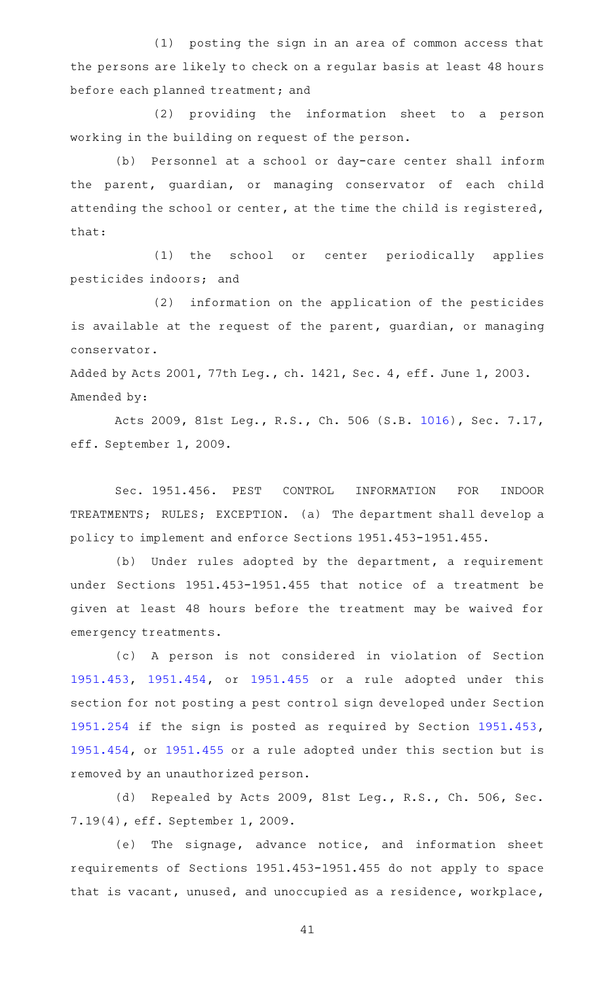$(1)$  posting the sign in an area of common access that the persons are likely to check on a regular basis at least 48 hours before each planned treatment; and

(2) providing the information sheet to a person working in the building on request of the person.

(b) Personnel at a school or day-care center shall inform the parent, guardian, or managing conservator of each child attending the school or center, at the time the child is registered, that:

(1) the school or center periodically applies pesticides indoors; and

(2) information on the application of the pesticides is available at the request of the parent, guardian, or managing conservator.

Added by Acts 2001, 77th Leg., ch. 1421, Sec. 4, eff. June 1, 2003. Amended by:

Acts 2009, 81st Leg., R.S., Ch. 506 (S.B. [1016\)](http://www.legis.state.tx.us/tlodocs/81R/billtext/html/SB01016F.HTM), Sec. 7.17, eff. September 1, 2009.

Sec. 1951.456. PEST CONTROL INFORMATION FOR INDOOR TREATMENTS; RULES; EXCEPTION. (a) The department shall develop a policy to implement and enforce Sections 1951.453-1951.455.

(b) Under rules adopted by the department, a requirement under Sections 1951.453-1951.455 that notice of a treatment be given at least 48 hours before the treatment may be waived for emergency treatments.

(c)AAA person is not considered in violation of Section [1951.453](http://www.statutes.legis.state.tx.us/GetStatute.aspx?Code=OC&Value=1951.453), [1951.454,](http://www.statutes.legis.state.tx.us/GetStatute.aspx?Code=OC&Value=1951.454) or [1951.455](http://www.statutes.legis.state.tx.us/GetStatute.aspx?Code=OC&Value=1951.455) or a rule adopted under this section for not posting a pest control sign developed under Section [1951.254](http://www.statutes.legis.state.tx.us/GetStatute.aspx?Code=OC&Value=1951.254) if the sign is posted as required by Section [1951.453](http://www.statutes.legis.state.tx.us/GetStatute.aspx?Code=OC&Value=1951.453), [1951.454](http://www.statutes.legis.state.tx.us/GetStatute.aspx?Code=OC&Value=1951.454), or [1951.455](http://www.statutes.legis.state.tx.us/GetStatute.aspx?Code=OC&Value=1951.455) or a rule adopted under this section but is removed by an unauthorized person.

(d) Repealed by Acts 2009, 81st Leg., R.S., Ch. 506, Sec. 7.19(4), eff. September 1, 2009.

(e) The signage, advance notice, and information sheet requirements of Sections 1951.453-1951.455 do not apply to space that is vacant, unused, and unoccupied as a residence, workplace,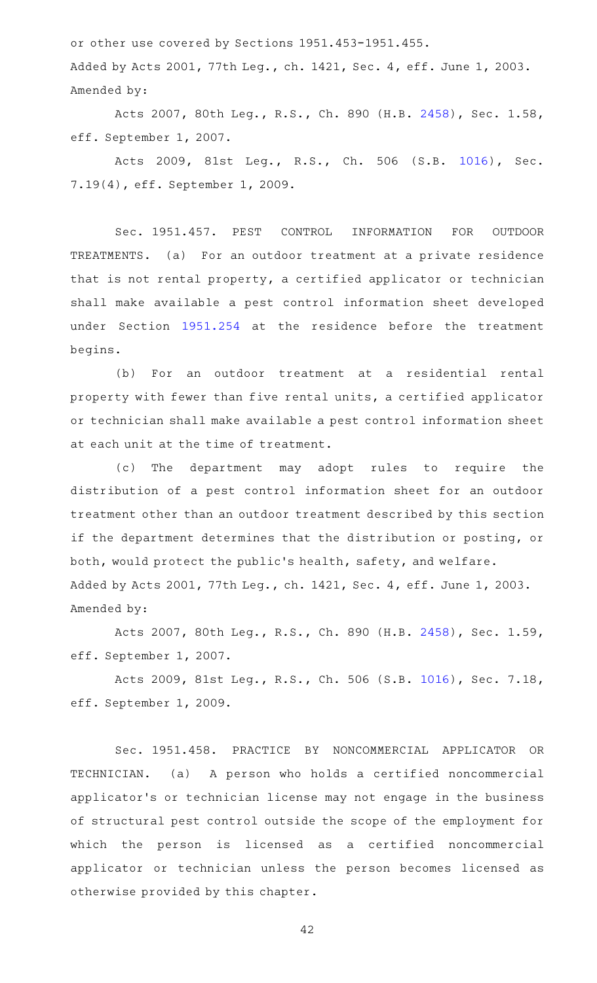or other use covered by Sections 1951.453-1951.455.

Added by Acts 2001, 77th Leg., ch. 1421, Sec. 4, eff. June 1, 2003. Amended by:

Acts 2007, 80th Leg., R.S., Ch. 890 (H.B. [2458\)](http://www.legis.state.tx.us/tlodocs/80R/billtext/html/HB02458F.HTM), Sec. 1.58, eff. September 1, 2007.

Acts 2009, 81st Leg., R.S., Ch. 506 (S.B. [1016\)](http://www.legis.state.tx.us/tlodocs/81R/billtext/html/SB01016F.HTM), Sec. 7.19(4), eff. September 1, 2009.

Sec. 1951.457. PEST CONTROL INFORMATION FOR OUTDOOR TREATMENTS. (a) For an outdoor treatment at a private residence that is not rental property, a certified applicator or technician shall make available a pest control information sheet developed under Section [1951.254](http://www.statutes.legis.state.tx.us/GetStatute.aspx?Code=OC&Value=1951.254) at the residence before the treatment begins.

(b) For an outdoor treatment at a residential rental property with fewer than five rental units, a certified applicator or technician shall make available a pest control information sheet at each unit at the time of treatment.

(c) The department may adopt rules to require the distribution of a pest control information sheet for an outdoor treatment other than an outdoor treatment described by this section if the department determines that the distribution or posting, or both, would protect the public 's health, safety, and welfare. Added by Acts 2001, 77th Leg., ch. 1421, Sec. 4, eff. June 1, 2003. Amended by:

Acts 2007, 80th Leg., R.S., Ch. 890 (H.B. [2458\)](http://www.legis.state.tx.us/tlodocs/80R/billtext/html/HB02458F.HTM), Sec. 1.59, eff. September 1, 2007.

Acts 2009, 81st Leg., R.S., Ch. 506 (S.B. [1016\)](http://www.legis.state.tx.us/tlodocs/81R/billtext/html/SB01016F.HTM), Sec. 7.18, eff. September 1, 2009.

Sec. 1951.458. PRACTICE BY NONCOMMERCIAL APPLICATOR OR TECHNICIAN. (a) A person who holds a certified noncommercial applicator 's or technician license may not engage in the business of structural pest control outside the scope of the employment for which the person is licensed as a certified noncommercial applicator or technician unless the person becomes licensed as otherwise provided by this chapter.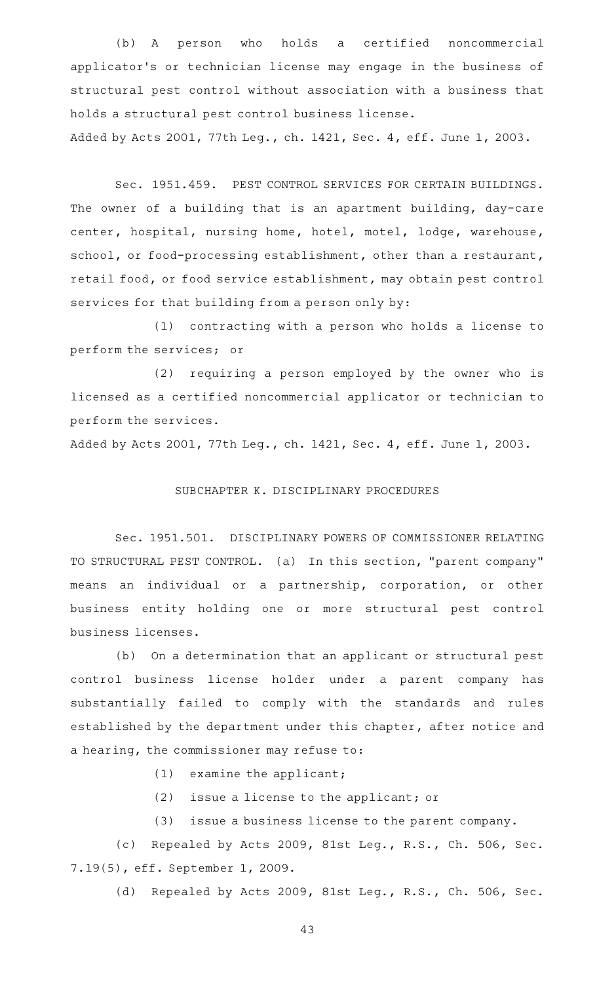(b) A person who holds a certified noncommercial applicator 's or technician license may engage in the business of structural pest control without association with a business that holds a structural pest control business license.

Added by Acts 2001, 77th Leg., ch. 1421, Sec. 4, eff. June 1, 2003.

Sec. 1951.459. PEST CONTROL SERVICES FOR CERTAIN BUILDINGS. The owner of a building that is an apartment building, day-care center, hospital, nursing home, hotel, motel, lodge, warehouse, school, or food-processing establishment, other than a restaurant, retail food, or food service establishment, may obtain pest control services for that building from a person only by:

(1) contracting with a person who holds a license to perform the services; or

(2) requiring a person employed by the owner who is licensed as a certified noncommercial applicator or technician to perform the services.

Added by Acts 2001, 77th Leg., ch. 1421, Sec. 4, eff. June 1, 2003.

# SUBCHAPTER K. DISCIPLINARY PROCEDURES

Sec. 1951.501. DISCIPLINARY POWERS OF COMMISSIONER RELATING TO STRUCTURAL PEST CONTROL. (a) In this section, "parent company" means an individual or a partnership, corporation, or other business entity holding one or more structural pest control business licenses.

(b) On a determination that an applicant or structural pest control business license holder under a parent company has substantially failed to comply with the standards and rules established by the department under this chapter, after notice and a hearing, the commissioner may refuse to:

 $(1)$  examine the applicant;

(2) issue a license to the applicant; or

(3) issue a business license to the parent company.

(c) Repealed by Acts 2009, 81st Leg., R.S., Ch. 506, Sec. 7.19(5), eff. September 1, 2009.

(d) Repealed by Acts 2009, 81st Leg., R.S., Ch. 506, Sec.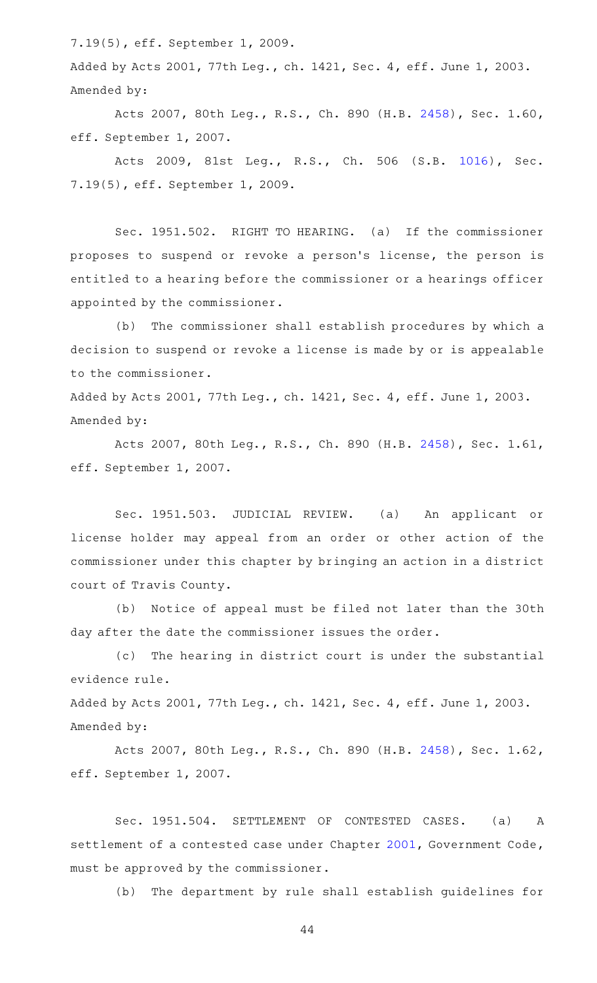7.19(5), eff. September 1, 2009.

Added by Acts 2001, 77th Leg., ch. 1421, Sec. 4, eff. June 1, 2003. Amended by:

Acts 2007, 80th Leg., R.S., Ch. 890 (H.B. [2458\)](http://www.legis.state.tx.us/tlodocs/80R/billtext/html/HB02458F.HTM), Sec. 1.60, eff. September 1, 2007.

Acts 2009, 81st Leg., R.S., Ch. 506 (S.B. [1016\)](http://www.legis.state.tx.us/tlodocs/81R/billtext/html/SB01016F.HTM), Sec. 7.19(5), eff. September 1, 2009.

Sec. 1951.502. RIGHT TO HEARING. (a) If the commissioner proposes to suspend or revoke a person 's license, the person is entitled to a hearing before the commissioner or a hearings officer appointed by the commissioner.

(b) The commissioner shall establish procedures by which a decision to suspend or revoke a license is made by or is appealable to the commissioner.

Added by Acts 2001, 77th Leg., ch. 1421, Sec. 4, eff. June 1, 2003. Amended by:

Acts 2007, 80th Leg., R.S., Ch. 890 (H.B. [2458\)](http://www.legis.state.tx.us/tlodocs/80R/billtext/html/HB02458F.HTM), Sec. 1.61, eff. September 1, 2007.

Sec. 1951.503. JUDICIAL REVIEW. (a) An applicant or license holder may appeal from an order or other action of the commissioner under this chapter by bringing an action in a district court of Travis County.

(b) Notice of appeal must be filed not later than the 30th day after the date the commissioner issues the order.

(c) The hearing in district court is under the substantial evidence rule.

Added by Acts 2001, 77th Leg., ch. 1421, Sec. 4, eff. June 1, 2003. Amended by:

Acts 2007, 80th Leg., R.S., Ch. 890 (H.B. [2458\)](http://www.legis.state.tx.us/tlodocs/80R/billtext/html/HB02458F.HTM), Sec. 1.62, eff. September 1, 2007.

Sec. 1951.504. SETTLEMENT OF CONTESTED CASES. (a) A settlement of a contested case under Chapter [2001,](http://www.statutes.legis.state.tx.us/GetStatute.aspx?Code=GV&Value=2001) Government Code, must be approved by the commissioner.

(b) The department by rule shall establish guidelines for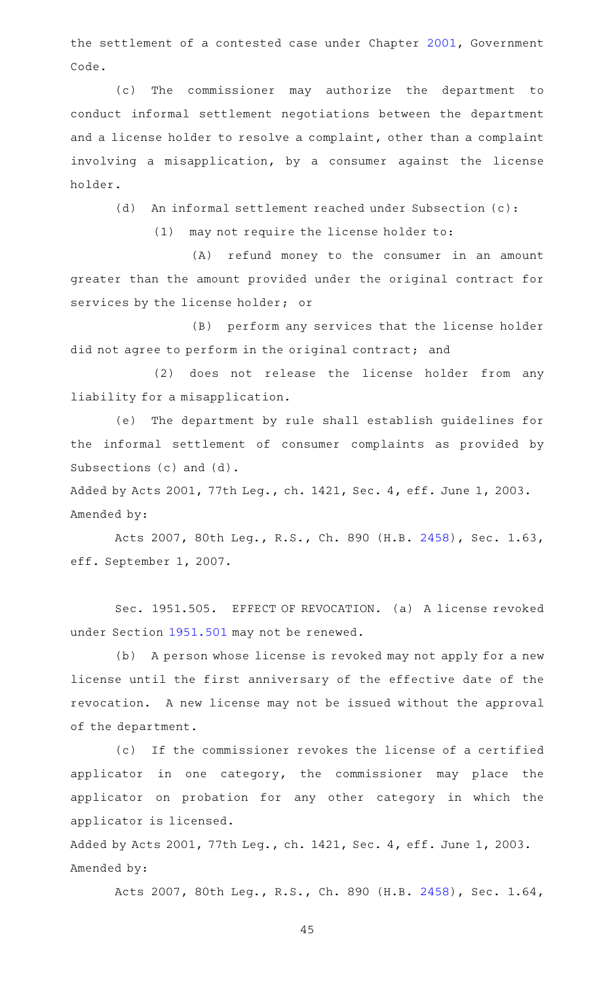the settlement of a contested case under Chapter [2001,](http://www.statutes.legis.state.tx.us/GetStatute.aspx?Code=GV&Value=2001) Government Code.

(c) The commissioner may authorize the department to conduct informal settlement negotiations between the department and a license holder to resolve a complaint, other than a complaint involving a misapplication, by a consumer against the license holder.

(d) An informal settlement reached under Subsection (c):

 $(1)$  may not require the license holder to:

(A) refund money to the consumer in an amount greater than the amount provided under the original contract for services by the license holder; or

(B) perform any services that the license holder did not agree to perform in the original contract; and

(2) does not release the license holder from any liability for a misapplication.

(e) The department by rule shall establish guidelines for the informal settlement of consumer complaints as provided by Subsections (c) and (d).

Added by Acts 2001, 77th Leg., ch. 1421, Sec. 4, eff. June 1, 2003. Amended by:

Acts 2007, 80th Leg., R.S., Ch. 890 (H.B. [2458\)](http://www.legis.state.tx.us/tlodocs/80R/billtext/html/HB02458F.HTM), Sec. 1.63, eff. September 1, 2007.

Sec. 1951.505. EFFECT OF REVOCATION. (a) A license revoked under Section [1951.501](http://www.statutes.legis.state.tx.us/GetStatute.aspx?Code=OC&Value=1951.501) may not be renewed.

(b) A person whose license is revoked may not apply for a new license until the first anniversary of the effective date of the revocation. A new license may not be issued without the approval of the department.

(c) If the commissioner revokes the license of a certified applicator in one category, the commissioner may place the applicator on probation for any other category in which the applicator is licensed.

Added by Acts 2001, 77th Leg., ch. 1421, Sec. 4, eff. June 1, 2003. Amended by:

Acts 2007, 80th Leg., R.S., Ch. 890 (H.B. [2458\)](http://www.legis.state.tx.us/tlodocs/80R/billtext/html/HB02458F.HTM), Sec. 1.64,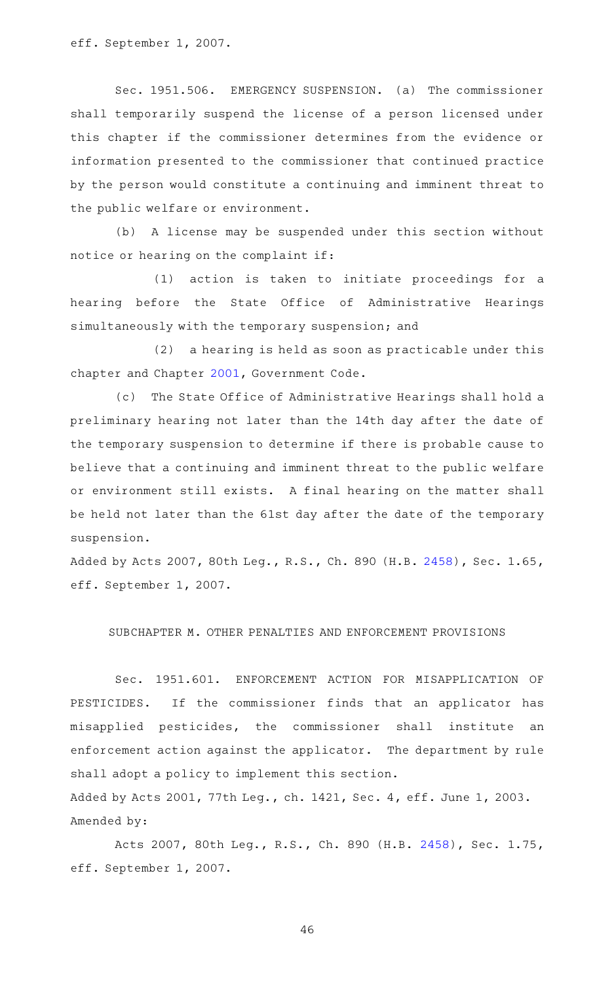eff. September 1, 2007.

Sec. 1951.506. EMERGENCY SUSPENSION. (a) The commissioner shall temporarily suspend the license of a person licensed under this chapter if the commissioner determines from the evidence or information presented to the commissioner that continued practice by the person would constitute a continuing and imminent threat to the public welfare or environment.

(b) A license may be suspended under this section without notice or hearing on the complaint if:

(1) action is taken to initiate proceedings for a hearing before the State Office of Administrative Hearings simultaneously with the temporary suspension; and

(2) a hearing is held as soon as practicable under this chapter and Chapter [2001,](http://www.statutes.legis.state.tx.us/GetStatute.aspx?Code=GV&Value=2001) Government Code.

(c) The State Office of Administrative Hearings shall hold a preliminary hearing not later than the 14th day after the date of the temporary suspension to determine if there is probable cause to believe that a continuing and imminent threat to the public welfare or environment still exists. A final hearing on the matter shall be held not later than the 61st day after the date of the temporary suspension.

Added by Acts 2007, 80th Leg., R.S., Ch. 890 (H.B. [2458](http://www.legis.state.tx.us/tlodocs/80R/billtext/html/HB02458F.HTM)), Sec. 1.65, eff. September 1, 2007.

SUBCHAPTER M. OTHER PENALTIES AND ENFORCEMENT PROVISIONS

Sec. 1951.601. ENFORCEMENT ACTION FOR MISAPPLICATION OF PESTICIDES. If the commissioner finds that an applicator has misapplied pesticides, the commissioner shall institute an enforcement action against the applicator. The department by rule shall adopt a policy to implement this section.

Added by Acts 2001, 77th Leg., ch. 1421, Sec. 4, eff. June 1, 2003. Amended by:

Acts 2007, 80th Leg., R.S., Ch. 890 (H.B. [2458\)](http://www.legis.state.tx.us/tlodocs/80R/billtext/html/HB02458F.HTM), Sec. 1.75, eff. September 1, 2007.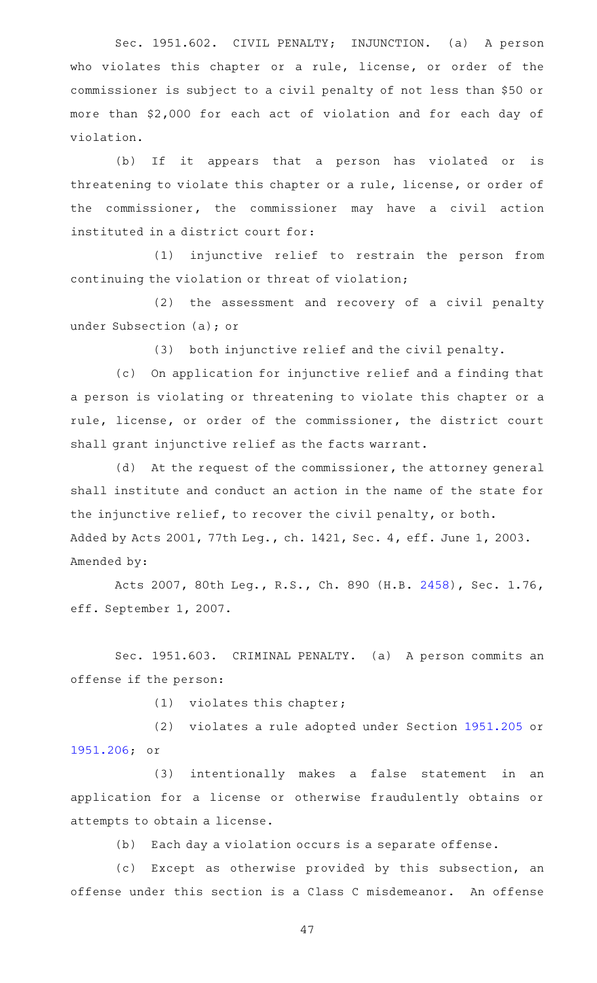Sec. 1951.602. CIVIL PENALTY; INJUNCTION. (a) A person who violates this chapter or a rule, license, or order of the commissioner is subject to a civil penalty of not less than \$50 or more than \$2,000 for each act of violation and for each day of violation.

(b) If it appears that a person has violated or is threatening to violate this chapter or a rule, license, or order of the commissioner, the commissioner may have a civil action instituted in a district court for:

(1) injunctive relief to restrain the person from continuing the violation or threat of violation;

(2) the assessment and recovery of a civil penalty under Subsection (a); or

(3) both injunctive relief and the civil penalty.

(c) On application for injunctive relief and a finding that a person is violating or threatening to violate this chapter or a rule, license, or order of the commissioner, the district court shall grant injunctive relief as the facts warrant.

(d) At the request of the commissioner, the attorney general shall institute and conduct an action in the name of the state for the injunctive relief, to recover the civil penalty, or both. Added by Acts 2001, 77th Leg., ch. 1421, Sec. 4, eff. June 1, 2003. Amended by:

Acts 2007, 80th Leg., R.S., Ch. 890 (H.B. [2458\)](http://www.legis.state.tx.us/tlodocs/80R/billtext/html/HB02458F.HTM), Sec. 1.76, eff. September 1, 2007.

Sec. 1951.603. CRIMINAL PENALTY. (a) A person commits an offense if the person:

 $(1)$  violates this chapter;

(2) violates a rule adopted under Section [1951.205](http://www.statutes.legis.state.tx.us/GetStatute.aspx?Code=OC&Value=1951.205) or [1951.206](http://www.statutes.legis.state.tx.us/GetStatute.aspx?Code=OC&Value=1951.206); or

(3) intentionally makes a false statement in an application for a license or otherwise fraudulently obtains or attempts to obtain a license.

(b) Each day a violation occurs is a separate offense.

(c) Except as otherwise provided by this subsection, an offense under this section is a Class C misdemeanor. An offense